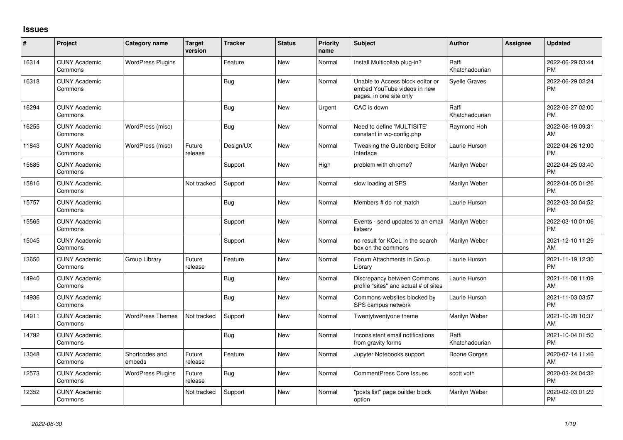## **Issues**

| $\sharp$ | Project                         | <b>Category name</b>     | <b>Target</b><br>version | <b>Tracker</b> | <b>Status</b> | <b>Priority</b><br>name | <b>Subject</b>                                                                             | <b>Author</b>           | Assignee | <b>Updated</b>                |
|----------|---------------------------------|--------------------------|--------------------------|----------------|---------------|-------------------------|--------------------------------------------------------------------------------------------|-------------------------|----------|-------------------------------|
| 16314    | <b>CUNY Academic</b><br>Commons | <b>WordPress Plugins</b> |                          | Feature        | <b>New</b>    | Normal                  | Install Multicollab plug-in?                                                               | Raffi<br>Khatchadourian |          | 2022-06-29 03:44<br><b>PM</b> |
| 16318    | <b>CUNY Academic</b><br>Commons |                          |                          | Bug            | New           | Normal                  | Unable to Access block editor or<br>embed YouTube videos in new<br>pages, in one site only | Syelle Graves           |          | 2022-06-29 02:24<br>PM        |
| 16294    | <b>CUNY Academic</b><br>Commons |                          |                          | Bug            | <b>New</b>    | Urgent                  | CAC is down                                                                                | Raffi<br>Khatchadourian |          | 2022-06-27 02:00<br><b>PM</b> |
| 16255    | <b>CUNY Academic</b><br>Commons | WordPress (misc)         |                          | Bug            | New           | Normal                  | Need to define 'MULTISITE'<br>constant in wp-config.php                                    | Raymond Hoh             |          | 2022-06-19 09:31<br>AM        |
| 11843    | <b>CUNY Academic</b><br>Commons | WordPress (misc)         | Future<br>release        | Design/UX      | New           | Normal                  | Tweaking the Gutenberg Editor<br>Interface                                                 | Laurie Hurson           |          | 2022-04-26 12:00<br><b>PM</b> |
| 15685    | <b>CUNY Academic</b><br>Commons |                          |                          | Support        | New           | High                    | problem with chrome?                                                                       | Marilyn Weber           |          | 2022-04-25 03:40<br><b>PM</b> |
| 15816    | <b>CUNY Academic</b><br>Commons |                          | Not tracked              | Support        | <b>New</b>    | Normal                  | slow loading at SPS                                                                        | Marilyn Weber           |          | 2022-04-05 01:26<br><b>PM</b> |
| 15757    | <b>CUNY Academic</b><br>Commons |                          |                          | Bug            | <b>New</b>    | Normal                  | Members # do not match                                                                     | Laurie Hurson           |          | 2022-03-30 04:52<br><b>PM</b> |
| 15565    | <b>CUNY Academic</b><br>Commons |                          |                          | Support        | New           | Normal                  | Events - send updates to an email<br>listserv                                              | Marilyn Weber           |          | 2022-03-10 01:06<br><b>PM</b> |
| 15045    | <b>CUNY Academic</b><br>Commons |                          |                          | Support        | <b>New</b>    | Normal                  | no result for KCeL in the search<br>box on the commons                                     | Marilyn Weber           |          | 2021-12-10 11:29<br>AM        |
| 13650    | <b>CUNY Academic</b><br>Commons | Group Library            | Future<br>release        | Feature        | New           | Normal                  | Forum Attachments in Group<br>Library                                                      | Laurie Hurson           |          | 2021-11-19 12:30<br><b>PM</b> |
| 14940    | <b>CUNY Academic</b><br>Commons |                          |                          | <b>Bug</b>     | <b>New</b>    | Normal                  | Discrepancy between Commons<br>profile "sites" and actual # of sites                       | Laurie Hurson           |          | 2021-11-08 11:09<br>AM        |
| 14936    | <b>CUNY Academic</b><br>Commons |                          |                          | <b>Bug</b>     | New           | Normal                  | Commons websites blocked by<br>SPS campus network                                          | Laurie Hurson           |          | 2021-11-03 03:57<br><b>PM</b> |
| 14911    | <b>CUNY Academic</b><br>Commons | <b>WordPress Themes</b>  | Not tracked              | Support        | <b>New</b>    | Normal                  | Twentytwentyone theme                                                                      | Marilyn Weber           |          | 2021-10-28 10:37<br>AM        |
| 14792    | <b>CUNY Academic</b><br>Commons |                          |                          | <b>Bug</b>     | <b>New</b>    | Normal                  | Inconsistent email notifications<br>from gravity forms                                     | Raffi<br>Khatchadourian |          | 2021-10-04 01:50<br><b>PM</b> |
| 13048    | <b>CUNY Academic</b><br>Commons | Shortcodes and<br>embeds | Future<br>release        | Feature        | New           | Normal                  | Jupyter Notebooks support                                                                  | Boone Gorges            |          | 2020-07-14 11:46<br>AM        |
| 12573    | <b>CUNY Academic</b><br>Commons | <b>WordPress Plugins</b> | Future<br>release        | Bug            | <b>New</b>    | Normal                  | <b>CommentPress Core Issues</b>                                                            | scott voth              |          | 2020-03-24 04:32<br>PM        |
| 12352    | <b>CUNY Academic</b><br>Commons |                          | Not tracked              | Support        | <b>New</b>    | Normal                  | 'posts list" page builder block<br>option                                                  | Marilyn Weber           |          | 2020-02-03 01:29<br><b>PM</b> |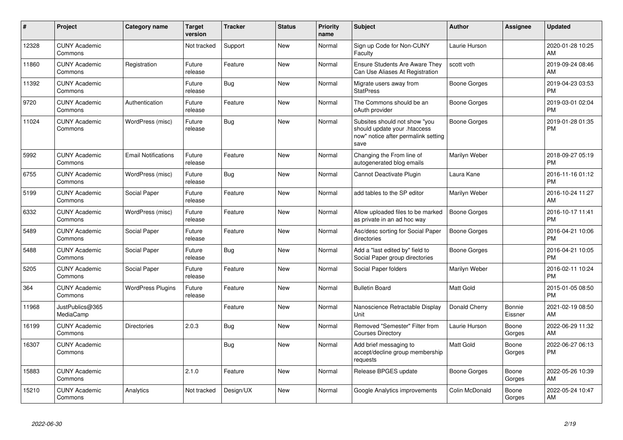| $\pmb{\sharp}$ | <b>Project</b>                  | <b>Category name</b>       | <b>Target</b><br>version | <b>Tracker</b> | <b>Status</b> | <b>Priority</b><br>name | <b>Subject</b>                                                                                               | <b>Author</b>       | <b>Assignee</b>   | <b>Updated</b>                |
|----------------|---------------------------------|----------------------------|--------------------------|----------------|---------------|-------------------------|--------------------------------------------------------------------------------------------------------------|---------------------|-------------------|-------------------------------|
| 12328          | <b>CUNY Academic</b><br>Commons |                            | Not tracked              | Support        | New           | Normal                  | Sign up Code for Non-CUNY<br>Faculty                                                                         | Laurie Hurson       |                   | 2020-01-28 10:25<br>AM        |
| 11860          | <b>CUNY Academic</b><br>Commons | Registration               | Future<br>release        | Feature        | <b>New</b>    | Normal                  | <b>Ensure Students Are Aware They</b><br>Can Use Aliases At Registration                                     | scott voth          |                   | 2019-09-24 08:46<br>AM        |
| 11392          | <b>CUNY Academic</b><br>Commons |                            | Future<br>release        | <b>Bug</b>     | <b>New</b>    | Normal                  | Migrate users away from<br><b>StatPress</b>                                                                  | Boone Gorges        |                   | 2019-04-23 03:53<br><b>PM</b> |
| 9720           | <b>CUNY Academic</b><br>Commons | Authentication             | Future<br>release        | Feature        | <b>New</b>    | Normal                  | The Commons should be an<br>oAuth provider                                                                   | Boone Gorges        |                   | 2019-03-01 02:04<br><b>PM</b> |
| 11024          | <b>CUNY Academic</b><br>Commons | WordPress (misc)           | Future<br>release        | Bug            | New           | Normal                  | Subsites should not show "you<br>should update your .htaccess<br>now" notice after permalink setting<br>save | Boone Gorges        |                   | 2019-01-28 01:35<br><b>PM</b> |
| 5992           | <b>CUNY Academic</b><br>Commons | <b>Email Notifications</b> | Future<br>release        | Feature        | <b>New</b>    | Normal                  | Changing the From line of<br>autogenerated blog emails                                                       | Marilyn Weber       |                   | 2018-09-27 05:19<br><b>PM</b> |
| 6755           | <b>CUNY Academic</b><br>Commons | WordPress (misc)           | Future<br>release        | Bug            | <b>New</b>    | Normal                  | Cannot Deactivate Plugin                                                                                     | Laura Kane          |                   | 2016-11-16 01:12<br><b>PM</b> |
| 5199           | <b>CUNY Academic</b><br>Commons | Social Paper               | Future<br>release        | Feature        | <b>New</b>    | Normal                  | add tables to the SP editor                                                                                  | Marilyn Weber       |                   | 2016-10-24 11:27<br>AM        |
| 6332           | <b>CUNY Academic</b><br>Commons | WordPress (misc)           | Future<br>release        | Feature        | New           | Normal                  | Allow uploaded files to be marked<br>as private in an ad hoc way                                             | <b>Boone Gorges</b> |                   | 2016-10-17 11:41<br><b>PM</b> |
| 5489           | <b>CUNY Academic</b><br>Commons | Social Paper               | Future<br>release        | Feature        | New           | Normal                  | Asc/desc sorting for Social Paper<br>directories                                                             | Boone Gorges        |                   | 2016-04-21 10:06<br><b>PM</b> |
| 5488           | <b>CUNY Academic</b><br>Commons | Social Paper               | Future<br>release        | Bug            | New           | Normal                  | Add a "last edited by" field to<br>Social Paper group directories                                            | Boone Gorges        |                   | 2016-04-21 10:05<br><b>PM</b> |
| 5205           | <b>CUNY Academic</b><br>Commons | Social Paper               | Future<br>release        | Feature        | <b>New</b>    | Normal                  | Social Paper folders                                                                                         | Marilyn Weber       |                   | 2016-02-11 10:24<br><b>PM</b> |
| 364            | <b>CUNY Academic</b><br>Commons | <b>WordPress Plugins</b>   | Future<br>release        | Feature        | <b>New</b>    | Normal                  | <b>Bulletin Board</b>                                                                                        | Matt Gold           |                   | 2015-01-05 08:50<br><b>PM</b> |
| 11968          | JustPublics@365<br>MediaCamp    |                            |                          | Feature        | <b>New</b>    | Normal                  | Nanoscience Retractable Display<br>Unit                                                                      | Donald Cherry       | Bonnie<br>Eissner | 2021-02-19 08:50<br>AM        |
| 16199          | <b>CUNY Academic</b><br>Commons | <b>Directories</b>         | 2.0.3                    | Bug            | New           | Normal                  | Removed "Semester" Filter from<br><b>Courses Directory</b>                                                   | Laurie Hurson       | Boone<br>Gorges   | 2022-06-29 11:32<br>AM        |
| 16307          | <b>CUNY Academic</b><br>Commons |                            |                          | Bug            | New           | Normal                  | Add brief messaging to<br>accept/decline group membership<br>requests                                        | <b>Matt Gold</b>    | Boone<br>Gorges   | 2022-06-27 06:13<br><b>PM</b> |
| 15883          | <b>CUNY Academic</b><br>Commons |                            | 2.1.0                    | Feature        | <b>New</b>    | Normal                  | Release BPGES update                                                                                         | Boone Gorges        | Boone<br>Gorges   | 2022-05-26 10:39<br>AM        |
| 15210          | <b>CUNY Academic</b><br>Commons | Analytics                  | Not tracked              | Design/UX      | <b>New</b>    | Normal                  | Google Analytics improvements                                                                                | Colin McDonald      | Boone<br>Gorges   | 2022-05-24 10:47<br>AM        |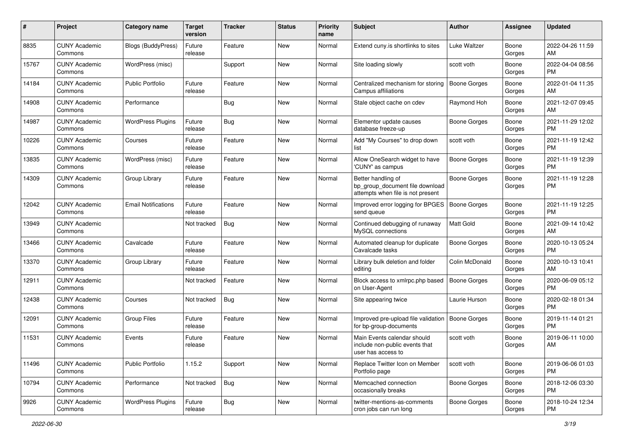| #     | Project                         | <b>Category name</b>       | <b>Target</b><br>version | <b>Tracker</b> | <b>Status</b> | <b>Priority</b><br>name | <b>Subject</b>                                                                             | <b>Author</b>       | Assignee        | <b>Updated</b>                |
|-------|---------------------------------|----------------------------|--------------------------|----------------|---------------|-------------------------|--------------------------------------------------------------------------------------------|---------------------|-----------------|-------------------------------|
| 8835  | <b>CUNY Academic</b><br>Commons | Blogs (BuddyPress)         | Future<br>release        | Feature        | <b>New</b>    | Normal                  | Extend cuny.is shortlinks to sites                                                         | Luke Waltzer        | Boone<br>Gorges | 2022-04-26 11:59<br>AM        |
| 15767 | <b>CUNY Academic</b><br>Commons | WordPress (misc)           |                          | Support        | New           | Normal                  | Site loading slowly                                                                        | scott voth          | Boone<br>Gorges | 2022-04-04 08:56<br><b>PM</b> |
| 14184 | <b>CUNY Academic</b><br>Commons | <b>Public Portfolio</b>    | Future<br>release        | Feature        | New           | Normal                  | Centralized mechanism for storing<br>Campus affiliations                                   | <b>Boone Gorges</b> | Boone<br>Gorges | 2022-01-04 11:35<br>AM        |
| 14908 | <b>CUNY Academic</b><br>Commons | Performance                |                          | Bug            | New           | Normal                  | Stale object cache on cdev                                                                 | Raymond Hoh         | Boone<br>Gorges | 2021-12-07 09:45<br>AM        |
| 14987 | <b>CUNY Academic</b><br>Commons | <b>WordPress Plugins</b>   | Future<br>release        | Bug            | <b>New</b>    | Normal                  | Elementor update causes<br>database freeze-up                                              | Boone Gorges        | Boone<br>Gorges | 2021-11-29 12:02<br><b>PM</b> |
| 10226 | <b>CUNY Academic</b><br>Commons | Courses                    | Future<br>release        | Feature        | New           | Normal                  | Add "My Courses" to drop down<br>list                                                      | scott voth          | Boone<br>Gorges | 2021-11-19 12:42<br><b>PM</b> |
| 13835 | <b>CUNY Academic</b><br>Commons | WordPress (misc)           | Future<br>release        | Feature        | New           | Normal                  | Allow OneSearch widget to have<br>'CUNY' as campus                                         | <b>Boone Gorges</b> | Boone<br>Gorges | 2021-11-19 12:39<br><b>PM</b> |
| 14309 | <b>CUNY Academic</b><br>Commons | Group Library              | Future<br>release        | Feature        | New           | Normal                  | Better handling of<br>bp_group_document file download<br>attempts when file is not present | Boone Gorges        | Boone<br>Gorges | 2021-11-19 12:28<br>PM.       |
| 12042 | <b>CUNY Academic</b><br>Commons | <b>Email Notifications</b> | Future<br>release        | Feature        | New           | Normal                  | Improved error logging for BPGES<br>send queue                                             | <b>Boone Gorges</b> | Boone<br>Gorges | 2021-11-19 12:25<br>PM        |
| 13949 | <b>CUNY Academic</b><br>Commons |                            | Not tracked              | Bug            | New           | Normal                  | Continued debugging of runaway<br>MySQL connections                                        | <b>Matt Gold</b>    | Boone<br>Gorges | 2021-09-14 10:42<br>AM        |
| 13466 | <b>CUNY Academic</b><br>Commons | Cavalcade                  | Future<br>release        | Feature        | New           | Normal                  | Automated cleanup for duplicate<br>Cavalcade tasks                                         | Boone Gorges        | Boone<br>Gorges | 2020-10-13 05:24<br><b>PM</b> |
| 13370 | <b>CUNY Academic</b><br>Commons | Group Library              | Future<br>release        | Feature        | New           | Normal                  | Library bulk deletion and folder<br>editing                                                | Colin McDonald      | Boone<br>Gorges | 2020-10-13 10:41<br>AM        |
| 12911 | <b>CUNY Academic</b><br>Commons |                            | Not tracked              | Feature        | <b>New</b>    | Normal                  | Block access to xmlrpc.php based<br>on User-Agent                                          | <b>Boone Gorges</b> | Boone<br>Gorges | 2020-06-09 05:12<br>PM        |
| 12438 | <b>CUNY Academic</b><br>Commons | Courses                    | Not tracked              | Bug            | New           | Normal                  | Site appearing twice                                                                       | Laurie Hurson       | Boone<br>Gorges | 2020-02-18 01:34<br><b>PM</b> |
| 12091 | <b>CUNY Academic</b><br>Commons | <b>Group Files</b>         | Future<br>release        | Feature        | New           | Normal                  | Improved pre-upload file validation<br>for bp-group-documents                              | <b>Boone Gorges</b> | Boone<br>Gorges | 2019-11-14 01:21<br><b>PM</b> |
| 11531 | <b>CUNY Academic</b><br>Commons | Events                     | Future<br>release        | Feature        | New           | Normal                  | Main Events calendar should<br>include non-public events that<br>user has access to        | scott voth          | Boone<br>Gorges | 2019-06-11 10:00<br>AM        |
| 11496 | <b>CUNY Academic</b><br>Commons | Public Portfolio           | 1.15.2                   | Support        | New           | Normal                  | Replace Twitter Icon on Member<br>Portfolio page                                           | scott voth          | Boone<br>Gorges | 2019-06-06 01:03<br>PM.       |
| 10794 | <b>CUNY Academic</b><br>Commons | Performance                | Not tracked              | Bug            | New           | Normal                  | Memcached connection<br>occasionally breaks                                                | Boone Gorges        | Boone<br>Gorges | 2018-12-06 03:30<br><b>PM</b> |
| 9926  | <b>CUNY Academic</b><br>Commons | <b>WordPress Plugins</b>   | Future<br>release        | Bug            | New           | Normal                  | twitter-mentions-as-comments<br>cron jobs can run long                                     | Boone Gorges        | Boone<br>Gorges | 2018-10-24 12:34<br>PM        |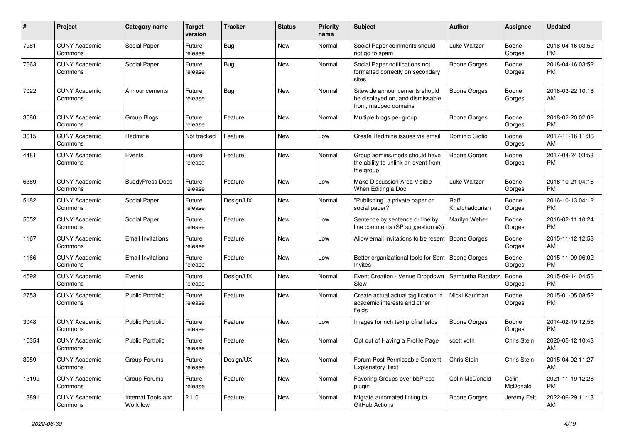| $\#$  | Project                         | Category name                  | <b>Target</b><br>version | Tracker    | <b>Status</b> | <b>Priority</b><br>name | Subject                                                                                   | Author                  | Assignee          | <b>Updated</b>                |
|-------|---------------------------------|--------------------------------|--------------------------|------------|---------------|-------------------------|-------------------------------------------------------------------------------------------|-------------------------|-------------------|-------------------------------|
| 7981  | <b>CUNY Academic</b><br>Commons | Social Paper                   | Future<br>release        | <b>Bug</b> | <b>New</b>    | Normal                  | Social Paper comments should<br>not go to spam                                            | Luke Waltzer            | Boone<br>Gorges   | 2018-04-16 03:52<br><b>PM</b> |
| 7663  | <b>CUNY Academic</b><br>Commons | Social Paper                   | Future<br>release        | Bug        | New           | Normal                  | Social Paper notifications not<br>formatted correctly on secondary<br>sites               | <b>Boone Gorges</b>     | Boone<br>Gorges   | 2018-04-16 03:52<br><b>PM</b> |
| 7022  | <b>CUNY Academic</b><br>Commons | Announcements                  | Future<br>release        | Bug        | New           | Normal                  | Sitewide announcements should<br>be displayed on, and dismissable<br>from, mapped domains | <b>Boone Gorges</b>     | Boone<br>Gorges   | 2018-03-22 10:18<br>AM        |
| 3580  | <b>CUNY Academic</b><br>Commons | Group Blogs                    | Future<br>release        | Feature    | <b>New</b>    | Normal                  | Multiple blogs per group                                                                  | Boone Gorges            | Boone<br>Gorges   | 2018-02-20 02:02<br><b>PM</b> |
| 3615  | <b>CUNY Academic</b><br>Commons | Redmine                        | Not tracked              | Feature    | <b>New</b>    | Low                     | Create Redmine issues via email                                                           | Dominic Giglio          | Boone<br>Gorges   | 2017-11-16 11:36<br>AM        |
| 4481  | <b>CUNY Academic</b><br>Commons | Events                         | Future<br>release        | Feature    | <b>New</b>    | Normal                  | Group admins/mods should have<br>the ability to unlink an event from<br>the group         | <b>Boone Gorges</b>     | Boone<br>Gorges   | 2017-04-24 03:53<br><b>PM</b> |
| 6389  | <b>CUNY Academic</b><br>Commons | <b>BuddyPress Docs</b>         | Future<br>release        | Feature    | <b>New</b>    | Low                     | Make Discussion Area Visible<br>When Editing a Doc                                        | Luke Waltzer            | Boone<br>Gorges   | 2016-10-21 04:16<br><b>PM</b> |
| 5182  | <b>CUNY Academic</b><br>Commons | Social Paper                   | Future<br>release        | Design/UX  | New           | Normal                  | "Publishing" a private paper on<br>social paper?                                          | Raffi<br>Khatchadourian | Boone<br>Gorges   | 2016-10-13 04:12<br><b>PM</b> |
| 5052  | <b>CUNY Academic</b><br>Commons | Social Paper                   | Future<br>release        | Feature    | <b>New</b>    | Low                     | Sentence by sentence or line by<br>line comments (SP suggestion #3)                       | Marilyn Weber           | Boone<br>Gorges   | 2016-02-11 10:24<br><b>PM</b> |
| 1167  | <b>CUNY Academic</b><br>Commons | <b>Email Invitations</b>       | Future<br>release        | Feature    | <b>New</b>    | Low                     | Allow email invitations to be resent                                                      | Boone Gorges            | Boone<br>Gorges   | 2015-11-12 12:53<br>AM        |
| 1166  | <b>CUNY Academic</b><br>Commons | <b>Email Invitations</b>       | Future<br>release        | Feature    | <b>New</b>    | Low                     | Better organizational tools for Sent<br>Invites                                           | Boone Gorges            | Boone<br>Gorges   | 2015-11-09 06:02<br><b>PM</b> |
| 4592  | <b>CUNY Academic</b><br>Commons | Events                         | Future<br>release        | Design/UX  | <b>New</b>    | Normal                  | Event Creation - Venue Dropdown<br>Slow                                                   | Samantha Raddatz        | Boone<br>Gorges   | 2015-09-14 04:56<br><b>PM</b> |
| 2753  | <b>CUNY Academic</b><br>Commons | Public Portfolio               | Future<br>release        | Feature    | <b>New</b>    | Normal                  | Create actual actual tagification in<br>academic interests and other<br>fields            | Micki Kaufman           | Boone<br>Gorges   | 2015-01-05 08:52<br><b>PM</b> |
| 3048  | <b>CUNY Academic</b><br>Commons | <b>Public Portfolio</b>        | Future<br>release        | Feature    | <b>New</b>    | Low                     | Images for rich text profile fields                                                       | <b>Boone Gorges</b>     | Boone<br>Gorges   | 2014-02-19 12:56<br><b>PM</b> |
| 10354 | <b>CUNY Academic</b><br>Commons | Public Portfolio               | Future<br>release        | Feature    | <b>New</b>    | Normal                  | Opt out of Having a Profile Page                                                          | scott voth              | Chris Stein       | 2020-05-12 10:43<br>AM        |
| 3059  | <b>CUNY Academic</b><br>Commons | Group Forums                   | Future<br>release        | Design/UX  | New           | Normal                  | Forum Post Permissable Content<br><b>Explanatory Text</b>                                 | Chris Stein             | Chris Stein       | 2015-04-02 11:27<br>AM        |
| 13199 | <b>CUNY Academic</b><br>Commons | Group Forums                   | Future<br>release        | Feature    | New           | Normal                  | Favoring Groups over bbPress<br>plugin                                                    | Colin McDonald          | Colin<br>McDonald | 2021-11-19 12:28<br><b>PM</b> |
| 13891 | <b>CUNY Academic</b><br>Commons | Internal Tools and<br>Workflow | 2.1.0                    | Feature    | New           | Normal                  | Migrate automated linting to<br>GitHub Actions                                            | Boone Gorges            | Jeremy Felt       | 2022-06-29 11:13<br>AM        |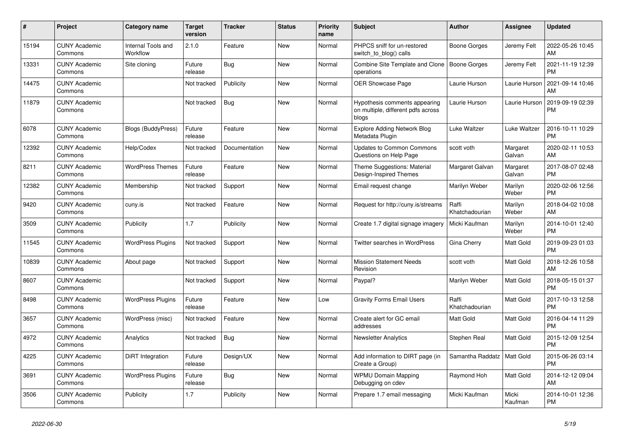| #     | <b>Project</b>                  | Category name                  | <b>Target</b><br>version | <b>Tracker</b> | <b>Status</b> | <b>Priority</b><br>name | <b>Subject</b>                                                               | <b>Author</b>           | Assignee           | <b>Updated</b>                |
|-------|---------------------------------|--------------------------------|--------------------------|----------------|---------------|-------------------------|------------------------------------------------------------------------------|-------------------------|--------------------|-------------------------------|
| 15194 | <b>CUNY Academic</b><br>Commons | Internal Tools and<br>Workflow | 2.1.0                    | Feature        | <b>New</b>    | Normal                  | PHPCS sniff for un-restored<br>switch_to_blog() calls                        | Boone Gorges            | Jeremy Felt        | 2022-05-26 10:45<br>AM        |
| 13331 | <b>CUNY Academic</b><br>Commons | Site cloning                   | Future<br>release        | Bug            | <b>New</b>    | Normal                  | Combine Site Template and Clone<br>operations                                | Boone Gorges            | Jeremy Felt        | 2021-11-19 12:39<br><b>PM</b> |
| 14475 | <b>CUNY Academic</b><br>Commons |                                | Not tracked              | Publicity      | New           | Normal                  | OER Showcase Page                                                            | Laurie Hurson           | Laurie Hurson      | 2021-09-14 10:46<br>AM        |
| 11879 | <b>CUNY Academic</b><br>Commons |                                | Not tracked              | <b>Bug</b>     | New           | Normal                  | Hypothesis comments appearing<br>on multiple, different pdfs across<br>blogs | Laurie Hurson           | Laurie Hurson      | 2019-09-19 02:39<br><b>PM</b> |
| 6078  | <b>CUNY Academic</b><br>Commons | <b>Blogs (BuddyPress)</b>      | Future<br>release        | Feature        | New           | Normal                  | <b>Explore Adding Network Blog</b><br>Metadata Plugin                        | Luke Waltzer            | Luke Waltzer       | 2016-10-11 10:29<br><b>PM</b> |
| 12392 | <b>CUNY Academic</b><br>Commons | Help/Codex                     | Not tracked              | Documentation  | New           | Normal                  | <b>Updates to Common Commons</b><br>Questions on Help Page                   | scott voth              | Margaret<br>Galvan | 2020-02-11 10:53<br>AM        |
| 8211  | <b>CUNY Academic</b><br>Commons | <b>WordPress Themes</b>        | Future<br>release        | Feature        | <b>New</b>    | Normal                  | Theme Suggestions: Material<br>Design-Inspired Themes                        | Margaret Galvan         | Margaret<br>Galvan | 2017-08-07 02:48<br><b>PM</b> |
| 12382 | <b>CUNY Academic</b><br>Commons | Membership                     | Not tracked              | Support        | New           | Normal                  | Email request change                                                         | Marilyn Weber           | Marilyn<br>Weber   | 2020-02-06 12:56<br><b>PM</b> |
| 9420  | <b>CUNY Academic</b><br>Commons | cuny.is                        | Not tracked              | Feature        | New           | Normal                  | Request for http://cuny.is/streams                                           | Raffi<br>Khatchadourian | Marilyn<br>Weber   | 2018-04-02 10:08<br>AM        |
| 3509  | <b>CUNY Academic</b><br>Commons | Publicity                      | 1.7                      | Publicity      | <b>New</b>    | Normal                  | Create 1.7 digital signage imagery                                           | Micki Kaufman           | Marilyn<br>Weber   | 2014-10-01 12:40<br><b>PM</b> |
| 11545 | <b>CUNY Academic</b><br>Commons | <b>WordPress Plugins</b>       | Not tracked              | Support        | <b>New</b>    | Normal                  | Twitter searches in WordPress                                                | Gina Cherry             | Matt Gold          | 2019-09-23 01:03<br><b>PM</b> |
| 10839 | <b>CUNY Academic</b><br>Commons | About page                     | Not tracked              | Support        | New           | Normal                  | <b>Mission Statement Needs</b><br>Revision                                   | scott voth              | Matt Gold          | 2018-12-26 10:58<br>AM        |
| 8607  | <b>CUNY Academic</b><br>Commons |                                | Not tracked              | Support        | <b>New</b>    | Normal                  | Paypal?                                                                      | Marilyn Weber           | Matt Gold          | 2018-05-15 01:37<br><b>PM</b> |
| 8498  | <b>CUNY Academic</b><br>Commons | <b>WordPress Plugins</b>       | Future<br>release        | Feature        | <b>New</b>    | Low                     | <b>Gravity Forms Email Users</b>                                             | Raffi<br>Khatchadourian | Matt Gold          | 2017-10-13 12:58<br><b>PM</b> |
| 3657  | <b>CUNY Academic</b><br>Commons | WordPress (misc)               | Not tracked              | Feature        | New           | Normal                  | Create alert for GC email<br>addresses                                       | <b>Matt Gold</b>        | Matt Gold          | 2016-04-14 11:29<br><b>PM</b> |
| 4972  | <b>CUNY Academic</b><br>Commons | Analytics                      | Not tracked              | Bug            | <b>New</b>    | Normal                  | <b>Newsletter Analytics</b>                                                  | Stephen Real            | Matt Gold          | 2015-12-09 12:54<br><b>PM</b> |
| 4225  | <b>CUNY Academic</b><br>Commons | DiRT Integration               | Future<br>release        | Design/UX      | <b>New</b>    | Normal                  | Add information to DIRT page (in<br>Create a Group)                          | Samantha Raddatz        | Matt Gold          | 2015-06-26 03:14<br><b>PM</b> |
| 3691  | <b>CUNY Academic</b><br>Commons | <b>WordPress Plugins</b>       | Future<br>release        | Bug            | New           | Normal                  | <b>WPMU Domain Mapping</b><br>Debugging on cdev                              | Raymond Hoh             | Matt Gold          | 2014-12-12 09:04<br>AM        |
| 3506  | <b>CUNY Academic</b><br>Commons | Publicity                      | 1.7                      | Publicity      | <b>New</b>    | Normal                  | Prepare 1.7 email messaging                                                  | Micki Kaufman           | Micki<br>Kaufman   | 2014-10-01 12:36<br><b>PM</b> |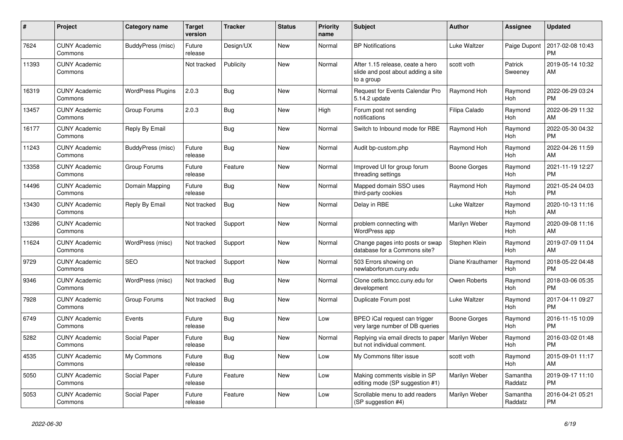| #     | Project                         | <b>Category name</b>     | <b>Target</b><br>version | <b>Tracker</b> | <b>Status</b> | <b>Priority</b><br>name | <b>Subject</b>                                                                       | <b>Author</b>    | Assignee              | <b>Updated</b>                |
|-------|---------------------------------|--------------------------|--------------------------|----------------|---------------|-------------------------|--------------------------------------------------------------------------------------|------------------|-----------------------|-------------------------------|
| 7624  | <b>CUNY Academic</b><br>Commons | BuddyPress (misc)        | Future<br>release        | Design/UX      | New           | Normal                  | <b>BP Notifications</b>                                                              | Luke Waltzer     | Paige Dupont          | 2017-02-08 10:43<br><b>PM</b> |
| 11393 | <b>CUNY Academic</b><br>Commons |                          | Not tracked              | Publicity      | New           | Normal                  | After 1.15 release, ceate a hero<br>slide and post about adding a site<br>to a group | scott voth       | Patrick<br>Sweeney    | 2019-05-14 10:32<br>AM        |
| 16319 | <b>CUNY Academic</b><br>Commons | <b>WordPress Plugins</b> | 2.0.3                    | <b>Bug</b>     | <b>New</b>    | Normal                  | Request for Events Calendar Pro<br>5.14.2 update                                     | Raymond Hoh      | Raymond<br>Hoh        | 2022-06-29 03:24<br><b>PM</b> |
| 13457 | <b>CUNY Academic</b><br>Commons | Group Forums             | 2.0.3                    | <b>Bug</b>     | New           | High                    | Forum post not sending<br>notifications                                              | Filipa Calado    | Raymond<br>Hoh        | 2022-06-29 11:32<br>AM        |
| 16177 | <b>CUNY Academic</b><br>Commons | Reply By Email           |                          | <b>Bug</b>     | New           | Normal                  | Switch to Inbound mode for RBE                                                       | Raymond Hoh      | Raymond<br>Hoh        | 2022-05-30 04:32<br><b>PM</b> |
| 11243 | <b>CUNY Academic</b><br>Commons | BuddyPress (misc)        | Future<br>release        | <b>Bug</b>     | <b>New</b>    | Normal                  | Audit bp-custom.php                                                                  | Raymond Hoh      | Raymond<br>Hoh        | 2022-04-26 11:59<br>AM        |
| 13358 | <b>CUNY Academic</b><br>Commons | Group Forums             | Future<br>release        | Feature        | <b>New</b>    | Normal                  | Improved UI for group forum<br>threading settings                                    | Boone Gorges     | Raymond<br>Hoh        | 2021-11-19 12:27<br><b>PM</b> |
| 14496 | <b>CUNY Academic</b><br>Commons | Domain Mapping           | Future<br>release        | Bug            | <b>New</b>    | Normal                  | Mapped domain SSO uses<br>third-party cookies                                        | Raymond Hoh      | Raymond<br>Hoh        | 2021-05-24 04:03<br><b>PM</b> |
| 13430 | <b>CUNY Academic</b><br>Commons | Reply By Email           | Not tracked              | Bug            | <b>New</b>    | Normal                  | Delay in RBE                                                                         | Luke Waltzer     | Raymond<br>Hoh        | 2020-10-13 11:16<br>AM        |
| 13286 | <b>CUNY Academic</b><br>Commons |                          | Not tracked              | Support        | New           | Normal                  | problem connecting with<br>WordPress app                                             | Marilyn Weber    | Raymond<br>Hoh        | 2020-09-08 11:16<br>AM        |
| 11624 | <b>CUNY Academic</b><br>Commons | WordPress (misc)         | Not tracked              | Support        | New           | Normal                  | Change pages into posts or swap<br>database for a Commons site?                      | Stephen Klein    | Raymond<br><b>Hoh</b> | 2019-07-09 11:04<br>AM        |
| 9729  | <b>CUNY Academic</b><br>Commons | <b>SEO</b>               | Not tracked              | Support        | <b>New</b>    | Normal                  | 503 Errors showing on<br>newlaborforum.cuny.edu                                      | Diane Krauthamer | Raymond<br>Hoh        | 2018-05-22 04:48<br><b>PM</b> |
| 9346  | <b>CUNY Academic</b><br>Commons | WordPress (misc)         | Not tracked              | Bug            | <b>New</b>    | Normal                  | Clone cetls.bmcc.cuny.edu for<br>development                                         | Owen Roberts     | Raymond<br>Hoh        | 2018-03-06 05:35<br><b>PM</b> |
| 7928  | <b>CUNY Academic</b><br>Commons | Group Forums             | Not tracked              | Bug            | New           | Normal                  | Duplicate Forum post                                                                 | Luke Waltzer     | Raymond<br>Hoh        | 2017-04-11 09:27<br><b>PM</b> |
| 6749  | <b>CUNY Academic</b><br>Commons | Events                   | Future<br>release        | Bug            | New           | Low                     | BPEO iCal request can trigger<br>very large number of DB queries                     | Boone Gorges     | Raymond<br>Hoh        | 2016-11-15 10:09<br><b>PM</b> |
| 5282  | <b>CUNY Academic</b><br>Commons | Social Paper             | Future<br>release        | <b>Bug</b>     | <b>New</b>    | Normal                  | Replying via email directs to paper<br>but not individual comment.                   | Marilyn Weber    | Raymond<br>Hoh        | 2016-03-02 01:48<br><b>PM</b> |
| 4535  | <b>CUNY Academic</b><br>Commons | My Commons               | Future<br>release        | <b>Bug</b>     | <b>New</b>    | Low                     | My Commons filter issue                                                              | scott voth       | Raymond<br>Hoh        | 2015-09-01 11:17<br>AM        |
| 5050  | <b>CUNY Academic</b><br>Commons | Social Paper             | Future<br>release        | Feature        | New           | Low                     | Making comments visible in SP<br>editing mode (SP suggestion #1)                     | Marilyn Weber    | Samantha<br>Raddatz   | 2019-09-17 11:10<br><b>PM</b> |
| 5053  | <b>CUNY Academic</b><br>Commons | Social Paper             | Future<br>release        | Feature        | <b>New</b>    | Low                     | Scrollable menu to add readers<br>(SP suggestion #4)                                 | Marilyn Weber    | Samantha<br>Raddatz   | 2016-04-21 05:21<br><b>PM</b> |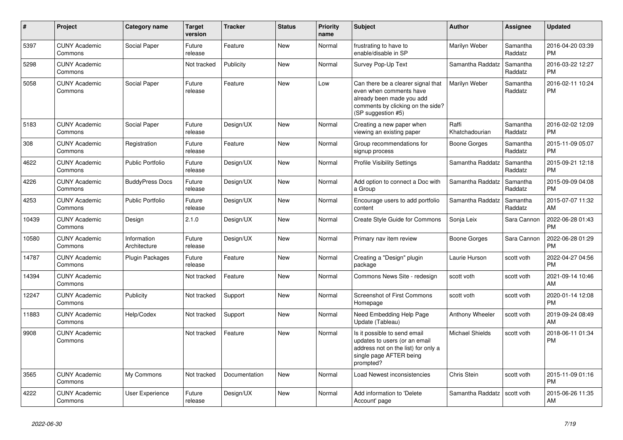| $\pmb{\sharp}$ | <b>Project</b>                  | Category name               | <b>Target</b><br>version | <b>Tracker</b> | <b>Status</b> | <b>Priority</b><br>name | <b>Subject</b>                                                                                                                                        | <b>Author</b>           | Assignee            | <b>Updated</b>                |
|----------------|---------------------------------|-----------------------------|--------------------------|----------------|---------------|-------------------------|-------------------------------------------------------------------------------------------------------------------------------------------------------|-------------------------|---------------------|-------------------------------|
| 5397           | <b>CUNY Academic</b><br>Commons | Social Paper                | Future<br>release        | Feature        | <b>New</b>    | Normal                  | frustrating to have to<br>enable/disable in SP                                                                                                        | Marilyn Weber           | Samantha<br>Raddatz | 2016-04-20 03:39<br><b>PM</b> |
| 5298           | <b>CUNY Academic</b><br>Commons |                             | Not tracked              | Publicity      | New           | Normal                  | Survey Pop-Up Text                                                                                                                                    | Samantha Raddatz        | Samantha<br>Raddatz | 2016-03-22 12:27<br><b>PM</b> |
| 5058           | <b>CUNY Academic</b><br>Commons | Social Paper                | Future<br>release        | Feature        | <b>New</b>    | Low                     | Can there be a clearer signal that<br>even when comments have<br>already been made you add<br>comments by clicking on the side?<br>(SP suggestion #5) | Marilyn Weber           | Samantha<br>Raddatz | 2016-02-11 10:24<br><b>PM</b> |
| 5183           | <b>CUNY Academic</b><br>Commons | Social Paper                | Future<br>release        | Design/UX      | New           | Normal                  | Creating a new paper when<br>viewing an existing paper                                                                                                | Raffi<br>Khatchadourian | Samantha<br>Raddatz | 2016-02-02 12:09<br><b>PM</b> |
| 308            | <b>CUNY Academic</b><br>Commons | Registration                | Future<br>release        | Feature        | <b>New</b>    | Normal                  | Group recommendations for<br>signup process                                                                                                           | Boone Gorges            | Samantha<br>Raddatz | 2015-11-09 05:07<br><b>PM</b> |
| 4622           | <b>CUNY Academic</b><br>Commons | Public Portfolio            | Future<br>release        | Design/UX      | <b>New</b>    | Normal                  | <b>Profile Visibility Settings</b>                                                                                                                    | Samantha Raddatz        | Samantha<br>Raddatz | 2015-09-21 12:18<br><b>PM</b> |
| 4226           | <b>CUNY Academic</b><br>Commons | <b>BuddyPress Docs</b>      | Future<br>release        | Design/UX      | New           | Normal                  | Add option to connect a Doc with<br>a Group                                                                                                           | Samantha Raddatz        | Samantha<br>Raddatz | 2015-09-09 04:08<br><b>PM</b> |
| 4253           | <b>CUNY Academic</b><br>Commons | <b>Public Portfolio</b>     | Future<br>release        | Design/UX      | New           | Normal                  | Encourage users to add portfolio<br>content                                                                                                           | Samantha Raddatz        | Samantha<br>Raddatz | 2015-07-07 11:32<br>AM        |
| 10439          | <b>CUNY Academic</b><br>Commons | Design                      | 2.1.0                    | Design/UX      | <b>New</b>    | Normal                  | Create Style Guide for Commons                                                                                                                        | Sonja Leix              | Sara Cannon         | 2022-06-28 01:43<br><b>PM</b> |
| 10580          | <b>CUNY Academic</b><br>Commons | Information<br>Architecture | Future<br>release        | Design/UX      | <b>New</b>    | Normal                  | Primary nav item review                                                                                                                               | Boone Gorges            | Sara Cannon         | 2022-06-28 01:29<br><b>PM</b> |
| 14787          | <b>CUNY Academic</b><br>Commons | <b>Plugin Packages</b>      | Future<br>release        | Feature        | New           | Normal                  | Creating a "Design" plugin<br>package                                                                                                                 | Laurie Hurson           | scott voth          | 2022-04-27 04:56<br><b>PM</b> |
| 14394          | <b>CUNY Academic</b><br>Commons |                             | Not tracked              | Feature        | <b>New</b>    | Normal                  | Commons News Site - redesign                                                                                                                          | scott voth              | scott voth          | 2021-09-14 10:46<br>AM        |
| 12247          | <b>CUNY Academic</b><br>Commons | Publicity                   | Not tracked              | Support        | <b>New</b>    | Normal                  | <b>Screenshot of First Commons</b><br>Homepage                                                                                                        | scott voth              | scott voth          | 2020-01-14 12:08<br><b>PM</b> |
| 11883          | <b>CUNY Academic</b><br>Commons | Help/Codex                  | Not tracked              | Support        | New           | Normal                  | Need Embedding Help Page<br>Update (Tableau)                                                                                                          | Anthony Wheeler         | scott voth          | 2019-09-24 08:49<br>AM        |
| 9908           | <b>CUNY Academic</b><br>Commons |                             | Not tracked              | Feature        | New           | Normal                  | Is it possible to send email<br>updates to users (or an email<br>address not on the list) for only a<br>single page AFTER being<br>prompted?          | <b>Michael Shields</b>  | scott voth          | 2018-06-11 01:34<br><b>PM</b> |
| 3565           | <b>CUNY Academic</b><br>Commons | My Commons                  | Not tracked              | Documentation  | New           | Normal                  | Load Newest inconsistencies                                                                                                                           | Chris Stein             | scott voth          | 2015-11-09 01:16<br><b>PM</b> |
| 4222           | <b>CUNY Academic</b><br>Commons | <b>User Experience</b>      | Future<br>release        | Design/UX      | <b>New</b>    | Normal                  | Add information to 'Delete<br>Account' page                                                                                                           | Samantha Raddatz        | scott voth          | 2015-06-26 11:35<br>AM        |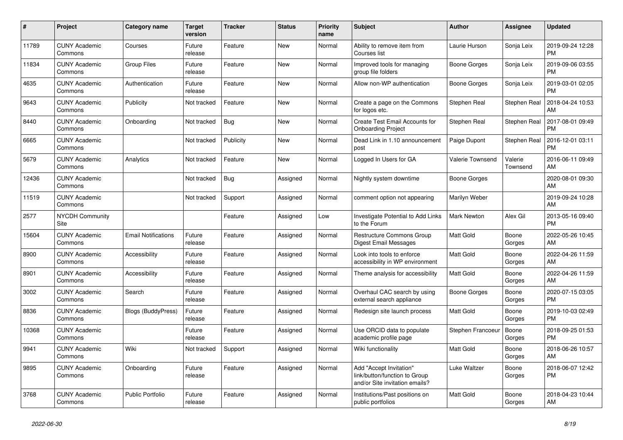| $\pmb{\sharp}$ | <b>Project</b>                  | Category name              | Target<br>version | <b>Tracker</b> | <b>Status</b> | <b>Priority</b><br>name | <b>Subject</b>                                                                             | <b>Author</b>      | Assignee            | <b>Updated</b>                |
|----------------|---------------------------------|----------------------------|-------------------|----------------|---------------|-------------------------|--------------------------------------------------------------------------------------------|--------------------|---------------------|-------------------------------|
| 11789          | <b>CUNY Academic</b><br>Commons | Courses                    | Future<br>release | Feature        | New           | Normal                  | Ability to remove item from<br>Courses list                                                | Laurie Hurson      | Sonja Leix          | 2019-09-24 12:28<br><b>PM</b> |
| 11834          | <b>CUNY Academic</b><br>Commons | <b>Group Files</b>         | Future<br>release | Feature        | New           | Normal                  | Improved tools for managing<br>group file folders                                          | Boone Gorges       | Sonja Leix          | 2019-09-06 03:55<br><b>PM</b> |
| 4635           | <b>CUNY Academic</b><br>Commons | Authentication             | Future<br>release | Feature        | New           | Normal                  | Allow non-WP authentication                                                                | Boone Gorges       | Sonja Leix          | 2019-03-01 02:05<br><b>PM</b> |
| 9643           | <b>CUNY Academic</b><br>Commons | Publicity                  | Not tracked       | Feature        | <b>New</b>    | Normal                  | Create a page on the Commons<br>for logos etc.                                             | Stephen Real       | Stephen Real        | 2018-04-24 10:53<br>AM        |
| 8440           | <b>CUNY Academic</b><br>Commons | Onboarding                 | Not tracked       | Bug            | New           | Normal                  | Create Test Email Accounts for<br><b>Onboarding Project</b>                                | Stephen Real       | Stephen Real        | 2017-08-01 09:49<br><b>PM</b> |
| 6665           | <b>CUNY Academic</b><br>Commons |                            | Not tracked       | Publicity      | New           | Normal                  | Dead Link in 1.10 announcement<br>post                                                     | Paige Dupont       | Stephen Real        | 2016-12-01 03:11<br><b>PM</b> |
| 5679           | <b>CUNY Academic</b><br>Commons | Analytics                  | Not tracked       | Feature        | <b>New</b>    | Normal                  | Logged In Users for GA                                                                     | Valerie Townsend   | Valerie<br>Townsend | 2016-06-11 09:49<br>AM        |
| 12436          | <b>CUNY Academic</b><br>Commons |                            | Not tracked       | Bug            | Assigned      | Normal                  | Nightly system downtime                                                                    | Boone Gorges       |                     | 2020-08-01 09:30<br>AM.       |
| 11519          | <b>CUNY Academic</b><br>Commons |                            | Not tracked       | Support        | Assigned      | Normal                  | comment option not appearing                                                               | Marilyn Weber      |                     | 2019-09-24 10:28<br>AM        |
| 2577           | NYCDH Community<br>Site         |                            |                   | Feature        | Assigned      | Low                     | Investigate Potential to Add Links<br>to the Forum                                         | <b>Mark Newton</b> | Alex Gil            | 2013-05-16 09:40<br><b>PM</b> |
| 15604          | <b>CUNY Academic</b><br>Commons | <b>Email Notifications</b> | Future<br>release | Feature        | Assigned      | Normal                  | Restructure Commons Group<br>Digest Email Messages                                         | Matt Gold          | Boone<br>Gorges     | 2022-05-26 10:45<br>AM        |
| 8900           | <b>CUNY Academic</b><br>Commons | Accessibility              | Future<br>release | Feature        | Assigned      | Normal                  | Look into tools to enforce<br>accessibility in WP environment                              | Matt Gold          | Boone<br>Gorges     | 2022-04-26 11:59<br>AM        |
| 8901           | <b>CUNY Academic</b><br>Commons | Accessibility              | Future<br>release | Feature        | Assigned      | Normal                  | Theme analysis for accessibility                                                           | <b>Matt Gold</b>   | Boone<br>Gorges     | 2022-04-26 11:59<br>AM        |
| 3002           | <b>CUNY Academic</b><br>Commons | Search                     | Future<br>release | Feature        | Assigned      | Normal                  | Overhaul CAC search by using<br>external search appliance                                  | Boone Gorges       | Boone<br>Gorges     | 2020-07-15 03:05<br>PM        |
| 8836           | <b>CUNY Academic</b><br>Commons | <b>Blogs (BuddyPress)</b>  | Future<br>release | Feature        | Assigned      | Normal                  | Redesign site launch process                                                               | Matt Gold          | Boone<br>Gorges     | 2019-10-03 02:49<br><b>PM</b> |
| 10368          | <b>CUNY Academic</b><br>Commons |                            | Future<br>release | Feature        | Assigned      | Normal                  | Use ORCID data to populate<br>academic profile page                                        | Stephen Francoeur  | Boone<br>Gorges     | 2018-09-25 01:53<br><b>PM</b> |
| 9941           | <b>CUNY Academic</b><br>Commons | Wiki                       | Not tracked       | Support        | Assigned      | Normal                  | Wiki functionality                                                                         | <b>Matt Gold</b>   | Boone<br>Gorges     | 2018-06-26 10:57<br>AM        |
| 9895           | <b>CUNY Academic</b><br>Commons | Onboarding                 | Future<br>release | Feature        | Assigned      | Normal                  | Add "Accept Invitation"<br>link/button/function to Group<br>and/or Site invitation emails? | Luke Waltzer       | Boone<br>Gorges     | 2018-06-07 12:42<br><b>PM</b> |
| 3768           | <b>CUNY Academic</b><br>Commons | Public Portfolio           | Future<br>release | Feature        | Assigned      | Normal                  | Institutions/Past positions on<br>public portfolios                                        | <b>Matt Gold</b>   | Boone<br>Gorges     | 2018-04-23 10:44<br>AM        |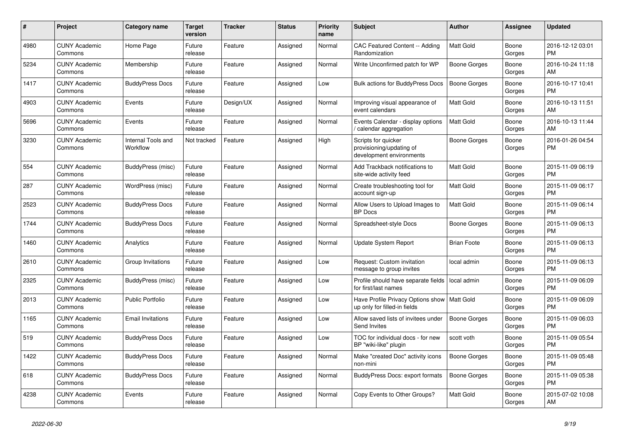| #    | <b>Project</b>                  | Category name                  | Target<br>version | <b>Tracker</b> | <b>Status</b> | <b>Priority</b><br>name | <b>Subject</b>                                                              | <b>Author</b>      | Assignee        | <b>Updated</b>                |
|------|---------------------------------|--------------------------------|-------------------|----------------|---------------|-------------------------|-----------------------------------------------------------------------------|--------------------|-----------------|-------------------------------|
| 4980 | <b>CUNY Academic</b><br>Commons | Home Page                      | Future<br>release | Feature        | Assigned      | Normal                  | CAC Featured Content -- Adding<br>Randomization                             | <b>Matt Gold</b>   | Boone<br>Gorges | 2016-12-12 03:01<br><b>PM</b> |
| 5234 | <b>CUNY Academic</b><br>Commons | Membership                     | Future<br>release | Feature        | Assigned      | Normal                  | Write Unconfirmed patch for WP                                              | Boone Gorges       | Boone<br>Gorges | 2016-10-24 11:18<br>AM.       |
| 1417 | <b>CUNY Academic</b><br>Commons | <b>BuddyPress Docs</b>         | Future<br>release | Feature        | Assigned      | Low                     | <b>Bulk actions for BuddyPress Docs</b>                                     | Boone Gorges       | Boone<br>Gorges | 2016-10-17 10:41<br><b>PM</b> |
| 4903 | <b>CUNY Academic</b><br>Commons | Events                         | Future<br>release | Design/UX      | Assigned      | Normal                  | Improving visual appearance of<br>event calendars                           | <b>Matt Gold</b>   | Boone<br>Gorges | 2016-10-13 11:51<br>AM.       |
| 5696 | <b>CUNY Academic</b><br>Commons | Events                         | Future<br>release | Feature        | Assigned      | Normal                  | Events Calendar - display options<br>calendar aggregation /                 | Matt Gold          | Boone<br>Gorges | 2016-10-13 11:44<br>AM        |
| 3230 | <b>CUNY Academic</b><br>Commons | Internal Tools and<br>Workflow | Not tracked       | Feature        | Assigned      | High                    | Scripts for quicker<br>provisioning/updating of<br>development environments | Boone Gorges       | Boone<br>Gorges | 2016-01-26 04:54<br><b>PM</b> |
| 554  | <b>CUNY Academic</b><br>Commons | BuddyPress (misc)              | Future<br>release | Feature        | Assigned      | Normal                  | Add Trackback notifications to<br>site-wide activity feed                   | Matt Gold          | Boone<br>Gorges | 2015-11-09 06:19<br><b>PM</b> |
| 287  | <b>CUNY Academic</b><br>Commons | WordPress (misc)               | Future<br>release | Feature        | Assigned      | Normal                  | Create troubleshooting tool for<br>account sign-up                          | Matt Gold          | Boone<br>Gorges | 2015-11-09 06:17<br><b>PM</b> |
| 2523 | <b>CUNY Academic</b><br>Commons | <b>BuddyPress Docs</b>         | Future<br>release | Feature        | Assigned      | Normal                  | Allow Users to Upload Images to<br><b>BP</b> Docs                           | <b>Matt Gold</b>   | Boone<br>Gorges | 2015-11-09 06:14<br>PM.       |
| 1744 | <b>CUNY Academic</b><br>Commons | <b>BuddyPress Docs</b>         | Future<br>release | Feature        | Assigned      | Normal                  | Spreadsheet-style Docs                                                      | Boone Gorges       | Boone<br>Gorges | 2015-11-09 06:13<br><b>PM</b> |
| 1460 | <b>CUNY Academic</b><br>Commons | Analytics                      | Future<br>release | Feature        | Assigned      | Normal                  | Update System Report                                                        | <b>Brian Foote</b> | Boone<br>Gorges | 2015-11-09 06:13<br><b>PM</b> |
| 2610 | <b>CUNY Academic</b><br>Commons | Group Invitations              | Future<br>release | Feature        | Assigned      | Low                     | Request: Custom invitation<br>message to group invites                      | local admin        | Boone<br>Gorges | 2015-11-09 06:13<br><b>PM</b> |
| 2325 | <b>CUNY Academic</b><br>Commons | BuddyPress (misc)              | Future<br>release | Feature        | Assigned      | Low                     | Profile should have separate fields<br>for first/last names                 | local admin        | Boone<br>Gorges | 2015-11-09 06:09<br><b>PM</b> |
| 2013 | <b>CUNY Academic</b><br>Commons | <b>Public Portfolio</b>        | Future<br>release | Feature        | Assigned      | Low                     | Have Profile Privacy Options show<br>up only for filled-in fields           | Matt Gold          | Boone<br>Gorges | 2015-11-09 06:09<br><b>PM</b> |
| 1165 | <b>CUNY Academic</b><br>Commons | <b>Email Invitations</b>       | Future<br>release | Feature        | Assigned      | Low                     | Allow saved lists of invitees under<br>Send Invites                         | Boone Gorges       | Boone<br>Gorges | 2015-11-09 06:03<br><b>PM</b> |
| 519  | <b>CUNY Academic</b><br>Commons | <b>BuddyPress Docs</b>         | Future<br>release | Feature        | Assigned      | Low                     | TOC for individual docs - for new<br>BP "wiki-like" plugin                  | scott voth         | Boone<br>Gorges | 2015-11-09 05:54<br><b>PM</b> |
| 1422 | <b>CUNY Academic</b><br>Commons | <b>BuddyPress Docs</b>         | Future<br>release | Feature        | Assigned      | Normal                  | Make "created Doc" activity icons<br>non-mini                               | Boone Gorges       | Boone<br>Gorges | 2015-11-09 05:48<br><b>PM</b> |
| 618  | <b>CUNY Academic</b><br>Commons | <b>BuddyPress Docs</b>         | Future<br>release | Feature        | Assigned      | Normal                  | BuddyPress Docs: export formats                                             | Boone Gorges       | Boone<br>Gorges | 2015-11-09 05:38<br><b>PM</b> |
| 4238 | <b>CUNY Academic</b><br>Commons | Events                         | Future<br>release | Feature        | Assigned      | Normal                  | Copy Events to Other Groups?                                                | Matt Gold          | Boone<br>Gorges | 2015-07-02 10:08<br>AM        |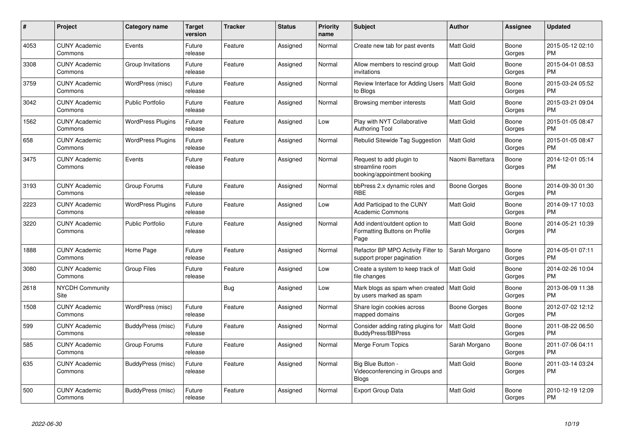| #    | Project                         | <b>Category name</b>     | Target<br>version | <b>Tracker</b> | <b>Status</b> | <b>Priority</b><br>name | <b>Subject</b>                                                             | <b>Author</b>    | <b>Assignee</b> | <b>Updated</b>                |
|------|---------------------------------|--------------------------|-------------------|----------------|---------------|-------------------------|----------------------------------------------------------------------------|------------------|-----------------|-------------------------------|
| 4053 | <b>CUNY Academic</b><br>Commons | Events                   | Future<br>release | Feature        | Assigned      | Normal                  | Create new tab for past events                                             | <b>Matt Gold</b> | Boone<br>Gorges | 2015-05-12 02:10<br><b>PM</b> |
| 3308 | <b>CUNY Academic</b><br>Commons | Group Invitations        | Future<br>release | Feature        | Assigned      | Normal                  | Allow members to rescind group<br>invitations                              | <b>Matt Gold</b> | Boone<br>Gorges | 2015-04-01 08:53<br>PM        |
| 3759 | <b>CUNY Academic</b><br>Commons | WordPress (misc)         | Future<br>release | Feature        | Assigned      | Normal                  | Review Interface for Adding Users<br>to Blogs                              | Matt Gold        | Boone<br>Gorges | 2015-03-24 05:52<br><b>PM</b> |
| 3042 | <b>CUNY Academic</b><br>Commons | <b>Public Portfolio</b>  | Future<br>release | Feature        | Assigned      | Normal                  | Browsing member interests                                                  | Matt Gold        | Boone<br>Gorges | 2015-03-21 09:04<br><b>PM</b> |
| 1562 | <b>CUNY Academic</b><br>Commons | <b>WordPress Plugins</b> | Future<br>release | Feature        | Assigned      | Low                     | Play with NYT Collaborative<br><b>Authoring Tool</b>                       | Matt Gold        | Boone<br>Gorges | 2015-01-05 08:47<br><b>PM</b> |
| 658  | <b>CUNY Academic</b><br>Commons | <b>WordPress Plugins</b> | Future<br>release | Feature        | Assigned      | Normal                  | Rebulid Sitewide Tag Suggestion                                            | <b>Matt Gold</b> | Boone<br>Gorges | 2015-01-05 08:47<br><b>PM</b> |
| 3475 | <b>CUNY Academic</b><br>Commons | Events                   | Future<br>release | Feature        | Assigned      | Normal                  | Request to add plugin to<br>streamline room<br>booking/appointment booking | Naomi Barrettara | Boone<br>Gorges | 2014-12-01 05:14<br><b>PM</b> |
| 3193 | <b>CUNY Academic</b><br>Commons | Group Forums             | Future<br>release | Feature        | Assigned      | Normal                  | bbPress 2.x dynamic roles and<br><b>RBE</b>                                | Boone Gorges     | Boone<br>Gorges | 2014-09-30 01:30<br><b>PM</b> |
| 2223 | <b>CUNY Academic</b><br>Commons | <b>WordPress Plugins</b> | Future<br>release | Feature        | Assigned      | Low                     | Add Participad to the CUNY<br><b>Academic Commons</b>                      | Matt Gold        | Boone<br>Gorges | 2014-09-17 10:03<br><b>PM</b> |
| 3220 | <b>CUNY Academic</b><br>Commons | <b>Public Portfolio</b>  | Future<br>release | Feature        | Assigned      | Normal                  | Add indent/outdent option to<br>Formatting Buttons on Profile<br>Page      | <b>Matt Gold</b> | Boone<br>Gorges | 2014-05-21 10:39<br><b>PM</b> |
| 1888 | <b>CUNY Academic</b><br>Commons | Home Page                | Future<br>release | Feature        | Assigned      | Normal                  | Refactor BP MPO Activity Filter to<br>support proper pagination            | Sarah Morgano    | Boone<br>Gorges | 2014-05-01 07:11<br>PM        |
| 3080 | <b>CUNY Academic</b><br>Commons | <b>Group Files</b>       | Future<br>release | Feature        | Assigned      | Low                     | Create a system to keep track of<br>file changes                           | Matt Gold        | Boone<br>Gorges | 2014-02-26 10:04<br>PM        |
| 2618 | <b>NYCDH Community</b><br>Site  |                          |                   | Bug            | Assigned      | Low                     | Mark blogs as spam when created<br>by users marked as spam                 | Matt Gold        | Boone<br>Gorges | 2013-06-09 11:38<br><b>PM</b> |
| 1508 | <b>CUNY Academic</b><br>Commons | WordPress (misc)         | Future<br>release | Feature        | Assigned      | Normal                  | Share login cookies across<br>mapped domains                               | Boone Gorges     | Boone<br>Gorges | 2012-07-02 12:12<br><b>PM</b> |
| 599  | <b>CUNY Academic</b><br>Commons | BuddyPress (misc)        | Future<br>release | Feature        | Assigned      | Normal                  | Consider adding rating plugins for<br><b>BuddyPress/BBPress</b>            | <b>Matt Gold</b> | Boone<br>Gorges | 2011-08-22 06:50<br><b>PM</b> |
| 585  | <b>CUNY Academic</b><br>Commons | Group Forums             | Future<br>release | Feature        | Assigned      | Normal                  | Merge Forum Topics                                                         | Sarah Morgano    | Boone<br>Gorges | 2011-07-06 04:11<br><b>PM</b> |
| 635  | <b>CUNY Academic</b><br>Commons | BuddyPress (misc)        | Future<br>release | Feature        | Assigned      | Normal                  | Big Blue Button -<br>Videoconferencing in Groups and<br>Blogs              | Matt Gold        | Boone<br>Gorges | 2011-03-14 03:24<br>PM        |
| 500  | <b>CUNY Academic</b><br>Commons | BuddyPress (misc)        | Future<br>release | Feature        | Assigned      | Normal                  | <b>Export Group Data</b>                                                   | Matt Gold        | Boone<br>Gorges | 2010-12-19 12:09<br><b>PM</b> |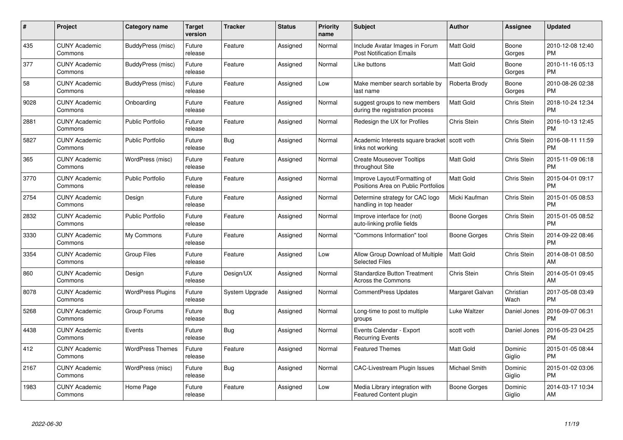| $\#$ | Project                         | <b>Category name</b>     | <b>Target</b><br>version | <b>Tracker</b> | <b>Status</b> | Priority<br>name | <b>Subject</b>                                                      | <b>Author</b>    | <b>Assignee</b>    | <b>Updated</b>                |
|------|---------------------------------|--------------------------|--------------------------|----------------|---------------|------------------|---------------------------------------------------------------------|------------------|--------------------|-------------------------------|
| 435  | <b>CUNY Academic</b><br>Commons | BuddyPress (misc)        | Future<br>release        | Feature        | Assigned      | Normal           | Include Avatar Images in Forum<br><b>Post Notification Emails</b>   | <b>Matt Gold</b> | Boone<br>Gorges    | 2010-12-08 12:40<br><b>PM</b> |
| 377  | <b>CUNY Academic</b><br>Commons | BuddyPress (misc)        | Future<br>release        | Feature        | Assigned      | Normal           | Like buttons                                                        | <b>Matt Gold</b> | Boone<br>Gorges    | 2010-11-16 05:13<br><b>PM</b> |
| 58   | <b>CUNY Academic</b><br>Commons | BuddyPress (misc)        | Future<br>release        | Feature        | Assigned      | Low              | Make member search sortable by<br>last name                         | Roberta Brody    | Boone<br>Gorges    | 2010-08-26 02:38<br><b>PM</b> |
| 9028 | <b>CUNY Academic</b><br>Commons | Onboarding               | Future<br>release        | Feature        | Assigned      | Normal           | suggest groups to new members<br>during the registration process    | Matt Gold        | Chris Stein        | 2018-10-24 12:34<br><b>PM</b> |
| 2881 | <b>CUNY Academic</b><br>Commons | <b>Public Portfolio</b>  | Future<br>release        | Feature        | Assigned      | Normal           | Redesign the UX for Profiles                                        | Chris Stein      | Chris Stein        | 2016-10-13 12:45<br><b>PM</b> |
| 5827 | <b>CUNY Academic</b><br>Commons | <b>Public Portfolio</b>  | Future<br>release        | Bug            | Assigned      | Normal           | Academic Interests square bracket<br>links not working              | scott voth       | Chris Stein        | 2016-08-11 11:59<br><b>PM</b> |
| 365  | <b>CUNY Academic</b><br>Commons | WordPress (misc)         | Future<br>release        | Feature        | Assigned      | Normal           | <b>Create Mouseover Tooltips</b><br>throughout Site                 | Matt Gold        | Chris Stein        | 2015-11-09 06:18<br><b>PM</b> |
| 3770 | <b>CUNY Academic</b><br>Commons | <b>Public Portfolio</b>  | Future<br>release        | Feature        | Assigned      | Normal           | Improve Layout/Formatting of<br>Positions Area on Public Portfolios | <b>Matt Gold</b> | Chris Stein        | 2015-04-01 09:17<br><b>PM</b> |
| 2754 | <b>CUNY Academic</b><br>Commons | Design                   | Future<br>release        | Feature        | Assigned      | Normal           | Determine strategy for CAC logo<br>handling in top header           | Micki Kaufman    | <b>Chris Stein</b> | 2015-01-05 08:53<br><b>PM</b> |
| 2832 | <b>CUNY Academic</b><br>Commons | <b>Public Portfolio</b>  | Future<br>release        | Feature        | Assigned      | Normal           | Improve interface for (not)<br>auto-linking profile fields          | Boone Gorges     | Chris Stein        | 2015-01-05 08:52<br><b>PM</b> |
| 3330 | <b>CUNY Academic</b><br>Commons | My Commons               | Future<br>release        | Feature        | Assigned      | Normal           | "Commons Information" tool                                          | Boone Gorges     | Chris Stein        | 2014-09-22 08:46<br><b>PM</b> |
| 3354 | <b>CUNY Academic</b><br>Commons | <b>Group Files</b>       | Future<br>release        | Feature        | Assigned      | Low              | Allow Group Download of Multiple<br><b>Selected Files</b>           | <b>Matt Gold</b> | Chris Stein        | 2014-08-01 08:50<br>AM        |
| 860  | <b>CUNY Academic</b><br>Commons | Design                   | Future<br>release        | Design/UX      | Assigned      | Normal           | <b>Standardize Button Treatment</b><br><b>Across the Commons</b>    | Chris Stein      | Chris Stein        | 2014-05-01 09:45<br>AM        |
| 8078 | <b>CUNY Academic</b><br>Commons | <b>WordPress Plugins</b> | Future<br>release        | System Upgrade | Assigned      | Normal           | CommentPress Updates                                                | Margaret Galvan  | Christian<br>Wach  | 2017-05-08 03:49<br><b>PM</b> |
| 5268 | <b>CUNY Academic</b><br>Commons | Group Forums             | Future<br>release        | Bug            | Assigned      | Normal           | Long-time to post to multiple<br>groups                             | Luke Waltzer     | Daniel Jones       | 2016-09-07 06:31<br><b>PM</b> |
| 4438 | <b>CUNY Academic</b><br>Commons | Events                   | Future<br>release        | Bug            | Assigned      | Normal           | Events Calendar - Export<br><b>Recurring Events</b>                 | scott voth       | Daniel Jones       | 2016-05-23 04:25<br><b>PM</b> |
| 412  | <b>CUNY Academic</b><br>Commons | <b>WordPress Themes</b>  | Future<br>release        | Feature        | Assigned      | Normal           | <b>Featured Themes</b>                                              | <b>Matt Gold</b> | Dominic<br>Giglio  | 2015-01-05 08:44<br><b>PM</b> |
| 2167 | <b>CUNY Academic</b><br>Commons | WordPress (misc)         | Future<br>release        | Bug            | Assigned      | Normal           | <b>CAC-Livestream Plugin Issues</b>                                 | Michael Smith    | Dominic<br>Giglio  | 2015-01-02 03:06<br><b>PM</b> |
| 1983 | CUNY Academic<br>Commons        | Home Page                | Future<br>release        | Feature        | Assigned      | Low              | Media Library integration with<br><b>Featured Content plugin</b>    | Boone Gorges     | Dominic<br>Giglio  | 2014-03-17 10:34<br>AM        |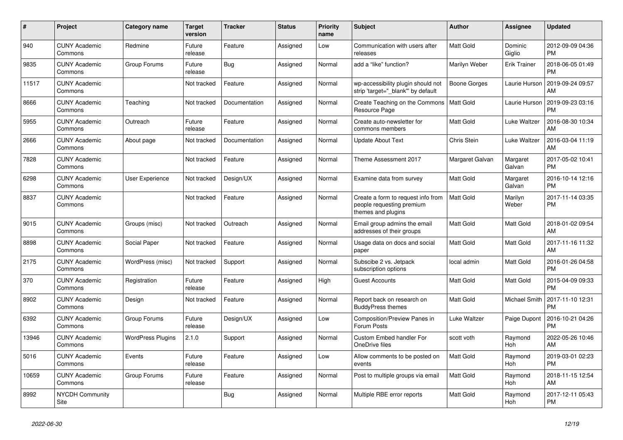| #     | Project                         | <b>Category name</b>     | <b>Target</b><br>version | <b>Tracker</b> | <b>Status</b> | <b>Priority</b><br>name | <b>Subject</b>                                                                        | <b>Author</b>    | Assignee            | <b>Updated</b>                |
|-------|---------------------------------|--------------------------|--------------------------|----------------|---------------|-------------------------|---------------------------------------------------------------------------------------|------------------|---------------------|-------------------------------|
| 940   | <b>CUNY Academic</b><br>Commons | Redmine                  | Future<br>release        | Feature        | Assigned      | Low                     | Communication with users after<br>releases                                            | <b>Matt Gold</b> | Dominic<br>Giglio   | 2012-09-09 04:36<br><b>PM</b> |
| 9835  | <b>CUNY Academic</b><br>Commons | Group Forums             | Future<br>release        | Bug            | Assigned      | Normal                  | add a "like" function?                                                                | Marilyn Weber    | <b>Erik Trainer</b> | 2018-06-05 01:49<br><b>PM</b> |
| 11517 | <b>CUNY Academic</b><br>Commons |                          | Not tracked              | Feature        | Assigned      | Normal                  | wp-accessibility plugin should not<br>strip 'target=" blank" by default               | Boone Gorges     | Laurie Hurson       | 2019-09-24 09:57<br>AM        |
| 8666  | <b>CUNY Academic</b><br>Commons | Teaching                 | Not tracked              | Documentation  | Assigned      | Normal                  | Create Teaching on the Commons<br>Resource Page                                       | <b>Matt Gold</b> | Laurie Hurson       | 2019-09-23 03:16<br><b>PM</b> |
| 5955  | <b>CUNY Academic</b><br>Commons | Outreach                 | Future<br>release        | Feature        | Assigned      | Normal                  | Create auto-newsletter for<br>commons members                                         | Matt Gold        | Luke Waltzer        | 2016-08-30 10:34<br>AM        |
| 2666  | <b>CUNY Academic</b><br>Commons | About page               | Not tracked              | Documentation  | Assigned      | Normal                  | <b>Update About Text</b>                                                              | Chris Stein      | Luke Waltzer        | 2016-03-04 11:19<br>AM        |
| 7828  | <b>CUNY Academic</b><br>Commons |                          | Not tracked              | Feature        | Assigned      | Normal                  | Theme Assessment 2017                                                                 | Margaret Galvan  | Margaret<br>Galvan  | 2017-05-02 10:41<br><b>PM</b> |
| 6298  | <b>CUNY Academic</b><br>Commons | User Experience          | Not tracked              | Design/UX      | Assigned      | Normal                  | Examine data from survey                                                              | <b>Matt Gold</b> | Margaret<br>Galvan  | 2016-10-14 12:16<br><b>PM</b> |
| 8837  | <b>CUNY Academic</b><br>Commons |                          | Not tracked              | Feature        | Assigned      | Normal                  | Create a form to request info from<br>people requesting premium<br>themes and plugins | <b>Matt Gold</b> | Marilyn<br>Weber    | 2017-11-14 03:35<br><b>PM</b> |
| 9015  | <b>CUNY Academic</b><br>Commons | Groups (misc)            | Not tracked              | Outreach       | Assigned      | Normal                  | Email group admins the email<br>addresses of their groups                             | <b>Matt Gold</b> | Matt Gold           | 2018-01-02 09:54<br>AM        |
| 8898  | <b>CUNY Academic</b><br>Commons | Social Paper             | Not tracked              | Feature        | Assigned      | Normal                  | Usage data on docs and social<br>paper                                                | <b>Matt Gold</b> | Matt Gold           | 2017-11-16 11:32<br>AM        |
| 2175  | <b>CUNY Academic</b><br>Commons | WordPress (misc)         | Not tracked              | Support        | Assigned      | Normal                  | Subscibe 2 vs. Jetpack<br>subscription options                                        | local admin      | Matt Gold           | 2016-01-26 04:58<br><b>PM</b> |
| 370   | <b>CUNY Academic</b><br>Commons | Registration             | Future<br>release        | Feature        | Assigned      | High                    | <b>Guest Accounts</b>                                                                 | Matt Gold        | Matt Gold           | 2015-04-09 09:33<br><b>PM</b> |
| 8902  | <b>CUNY Academic</b><br>Commons | Design                   | Not tracked              | Feature        | Assigned      | Normal                  | Report back on research on<br><b>BuddyPress themes</b>                                | Matt Gold        | Michael Smith       | 2017-11-10 12:31<br><b>PM</b> |
| 6392  | <b>CUNY Academic</b><br>Commons | Group Forums             | Future<br>release        | Design/UX      | Assigned      | Low                     | Composition/Preview Panes in<br>Forum Posts                                           | Luke Waltzer     | Paige Dupont        | 2016-10-21 04:26<br><b>PM</b> |
| 13946 | <b>CUNY Academic</b><br>Commons | <b>WordPress Plugins</b> | 2.1.0                    | Support        | Assigned      | Normal                  | <b>Custom Embed handler For</b><br>OneDrive files                                     | scott voth       | Raymond<br>Hoh      | 2022-05-26 10:46<br>AM        |
| 5016  | <b>CUNY Academic</b><br>Commons | Events                   | Future<br>release        | Feature        | Assigned      | Low                     | Allow comments to be posted on<br>events                                              | <b>Matt Gold</b> | Raymond<br>Hoh      | 2019-03-01 02:23<br><b>PM</b> |
| 10659 | <b>CUNY Academic</b><br>Commons | Group Forums             | Future<br>release        | Feature        | Assigned      | Normal                  | Post to multiple groups via email                                                     | <b>Matt Gold</b> | Raymond<br>Hoh      | 2018-11-15 12:54<br>AM        |
| 8992  | <b>NYCDH Community</b><br>Site  |                          |                          | <b>Bug</b>     | Assigned      | Normal                  | Multiple RBE error reports                                                            | Matt Gold        | Raymond<br>Hoh      | 2017-12-11 05:43<br><b>PM</b> |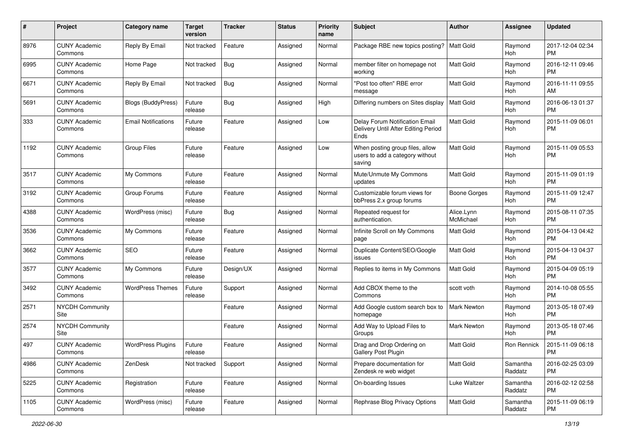| #    | Project                         | <b>Category name</b>       | <b>Target</b><br>version | <b>Tracker</b> | <b>Status</b> | <b>Priority</b><br>name | <b>Subject</b>                                                                | Author                  | <b>Assignee</b>     | <b>Updated</b>                |
|------|---------------------------------|----------------------------|--------------------------|----------------|---------------|-------------------------|-------------------------------------------------------------------------------|-------------------------|---------------------|-------------------------------|
| 8976 | <b>CUNY Academic</b><br>Commons | Reply By Email             | Not tracked              | Feature        | Assigned      | Normal                  | Package RBE new topics posting?                                               | <b>Matt Gold</b>        | Raymond<br>Hoh      | 2017-12-04 02:34<br>PM.       |
| 6995 | <b>CUNY Academic</b><br>Commons | Home Page                  | Not tracked              | Bug            | Assigned      | Normal                  | member filter on homepage not<br>working                                      | <b>Matt Gold</b>        | Raymond<br>Hoh      | 2016-12-11 09:46<br><b>PM</b> |
| 6671 | <b>CUNY Academic</b><br>Commons | Reply By Email             | Not tracked              | <b>Bug</b>     | Assigned      | Normal                  | 'Post too often" RBE error<br>message                                         | Matt Gold               | Raymond<br>Hoh      | 2016-11-11 09:55<br>AM.       |
| 5691 | <b>CUNY Academic</b><br>Commons | Blogs (BuddyPress)         | Future<br>release        | Bug            | Assigned      | High                    | Differing numbers on Sites display                                            | <b>Matt Gold</b>        | Raymond<br>Hoh      | 2016-06-13 01:37<br><b>PM</b> |
| 333  | <b>CUNY Academic</b><br>Commons | <b>Email Notifications</b> | Future<br>release        | Feature        | Assigned      | Low                     | Delay Forum Notification Email<br>Delivery Until After Editing Period<br>Ends | <b>Matt Gold</b>        | Raymond<br>Hoh      | 2015-11-09 06:01<br><b>PM</b> |
| 1192 | <b>CUNY Academic</b><br>Commons | <b>Group Files</b>         | Future<br>release        | Feature        | Assigned      | Low                     | When posting group files, allow<br>users to add a category without<br>saving  | <b>Matt Gold</b>        | Raymond<br>Hoh      | 2015-11-09 05:53<br><b>PM</b> |
| 3517 | <b>CUNY Academic</b><br>Commons | My Commons                 | Future<br>release        | Feature        | Assigned      | Normal                  | Mute/Unmute My Commons<br>updates                                             | <b>Matt Gold</b>        | Raymond<br>Hoh      | 2015-11-09 01:19<br>PM.       |
| 3192 | <b>CUNY Academic</b><br>Commons | Group Forums               | Future<br>release        | Feature        | Assigned      | Normal                  | Customizable forum views for<br>bbPress 2.x group forums                      | Boone Gorges            | Raymond<br>Hoh      | 2015-11-09 12:47<br><b>PM</b> |
| 4388 | <b>CUNY Academic</b><br>Commons | WordPress (misc)           | Future<br>release        | Bug            | Assigned      | Normal                  | Repeated request for<br>authentication.                                       | Alice.Lynn<br>McMichael | Raymond<br>Hoh      | 2015-08-11 07:35<br><b>PM</b> |
| 3536 | <b>CUNY Academic</b><br>Commons | My Commons                 | Future<br>release        | Feature        | Assigned      | Normal                  | Infinite Scroll on My Commons<br>page                                         | Matt Gold               | Raymond<br>Hoh      | 2015-04-13 04:42<br>PM.       |
| 3662 | <b>CUNY Academic</b><br>Commons | <b>SEO</b>                 | Future<br>release        | Feature        | Assigned      | Normal                  | Duplicate Content/SEO/Google<br>issues                                        | <b>Matt Gold</b>        | Raymond<br>Hoh      | 2015-04-13 04:37<br><b>PM</b> |
| 3577 | <b>CUNY Academic</b><br>Commons | My Commons                 | Future<br>release        | Design/UX      | Assigned      | Normal                  | Replies to items in My Commons                                                | Matt Gold               | Raymond<br>Hoh      | 2015-04-09 05:19<br><b>PM</b> |
| 3492 | <b>CUNY Academic</b><br>Commons | <b>WordPress Themes</b>    | Future<br>release        | Support        | Assigned      | Normal                  | Add CBOX theme to the<br>Commons                                              | scott voth              | Raymond<br>Hoh      | 2014-10-08 05:55<br><b>PM</b> |
| 2571 | <b>NYCDH Community</b><br>Site  |                            |                          | Feature        | Assigned      | Normal                  | Add Google custom search box to<br>homepage                                   | <b>Mark Newton</b>      | Raymond<br>Hoh      | 2013-05-18 07:49<br><b>PM</b> |
| 2574 | NYCDH Community<br>Site         |                            |                          | Feature        | Assigned      | Normal                  | Add Way to Upload Files to<br>Groups                                          | <b>Mark Newton</b>      | Raymond<br>Hoh      | 2013-05-18 07:46<br><b>PM</b> |
| 497  | <b>CUNY Academic</b><br>Commons | <b>WordPress Plugins</b>   | Future<br>release        | Feature        | Assigned      | Normal                  | Drag and Drop Ordering on<br>Gallery Post Plugin                              | Matt Gold               | Ron Rennick         | 2015-11-09 06:18<br><b>PM</b> |
| 4986 | <b>CUNY Academic</b><br>Commons | ZenDesk                    | Not tracked              | Support        | Assigned      | Normal                  | Prepare documentation for<br>Zendesk re web widget                            | Matt Gold               | Samantha<br>Raddatz | 2016-02-25 03:09<br><b>PM</b> |
| 5225 | <b>CUNY Academic</b><br>Commons | Registration               | Future<br>release        | Feature        | Assigned      | Normal                  | On-boarding Issues                                                            | Luke Waltzer            | Samantha<br>Raddatz | 2016-02-12 02:58<br><b>PM</b> |
| 1105 | <b>CUNY Academic</b><br>Commons | WordPress (misc)           | Future<br>release        | Feature        | Assigned      | Normal                  | Rephrase Blog Privacy Options                                                 | Matt Gold               | Samantha<br>Raddatz | 2015-11-09 06:19<br><b>PM</b> |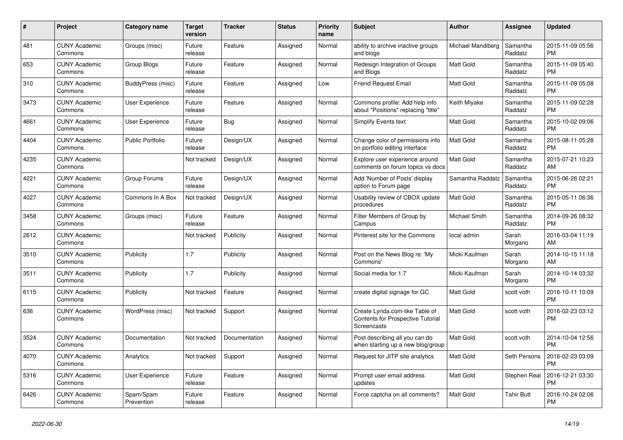| $\#$ | <b>Project</b>                  | Category name           | <b>Target</b><br>version | <b>Tracker</b> | <b>Status</b> | <b>Priority</b><br>name | <b>Subject</b>                                                                            | <b>Author</b>     | Assignee            | <b>Updated</b>                |
|------|---------------------------------|-------------------------|--------------------------|----------------|---------------|-------------------------|-------------------------------------------------------------------------------------------|-------------------|---------------------|-------------------------------|
| 481  | <b>CUNY Academic</b><br>Commons | Groups (misc)           | Future<br>release        | Feature        | Assigned      | Normal                  | ability to archive inactive groups<br>and blogs                                           | Michael Mandiberg | Samantha<br>Raddatz | 2015-11-09 05:56<br><b>PM</b> |
| 653  | <b>CUNY Academic</b><br>Commons | <b>Group Blogs</b>      | Future<br>release        | Feature        | Assigned      | Normal                  | Redesign Integration of Groups<br>and Blogs                                               | Matt Gold         | Samantha<br>Raddatz | 2015-11-09 05:40<br><b>PM</b> |
| 310  | <b>CUNY Academic</b><br>Commons | BuddyPress (misc)       | Future<br>release        | Feature        | Assigned      | Low                     | <b>Friend Request Email</b>                                                               | Matt Gold         | Samantha<br>Raddatz | 2015-11-09 05:08<br><b>PM</b> |
| 3473 | <b>CUNY Academic</b><br>Commons | <b>User Experience</b>  | Future<br>release        | Feature        | Assigned      | Normal                  | Commons profile: Add help info<br>about "Positions" replacing "title"                     | Keith Miyake      | Samantha<br>Raddatz | 2015-11-09 02:28<br><b>PM</b> |
| 4661 | <b>CUNY Academic</b><br>Commons | <b>User Experience</b>  | Future<br>release        | <b>Bug</b>     | Assigned      | Normal                  | Simplify Events text                                                                      | Matt Gold         | Samantha<br>Raddatz | 2015-10-02 09:06<br><b>PM</b> |
| 4404 | <b>CUNY Academic</b><br>Commons | <b>Public Portfolio</b> | Future<br>release        | Design/UX      | Assigned      | Normal                  | Change color of permissions info<br>on portfolio editing interface                        | Matt Gold         | Samantha<br>Raddatz | 2015-08-11 05:28<br><b>PM</b> |
| 4235 | <b>CUNY Academic</b><br>Commons |                         | Not tracked              | Design/UX      | Assigned      | Normal                  | Explore user experience around<br>comments on forum topics vs docs                        | <b>Matt Gold</b>  | Samantha<br>Raddatz | 2015-07-21 10:23<br>AM        |
| 4221 | <b>CUNY Academic</b><br>Commons | Group Forums            | Future<br>release        | Design/UX      | Assigned      | Normal                  | Add 'Number of Posts' display<br>option to Forum page                                     | Samantha Raddatz  | Samantha<br>Raddatz | 2015-06-26 02:21<br><b>PM</b> |
| 4027 | <b>CUNY Academic</b><br>Commons | Commons In A Box        | Not tracked              | Design/UX      | Assigned      | Normal                  | Usability review of CBOX update<br>procedures                                             | Matt Gold         | Samantha<br>Raddatz | 2015-05-11 06:36<br><b>PM</b> |
| 3458 | <b>CUNY Academic</b><br>Commons | Groups (misc)           | Future<br>release        | Feature        | Assigned      | Normal                  | Filter Members of Group by<br>Campus                                                      | Michael Smith     | Samantha<br>Raddatz | 2014-09-26 08:32<br><b>PM</b> |
| 2612 | <b>CUNY Academic</b><br>Commons |                         | Not tracked              | Publicity      | Assigned      | Normal                  | Pinterest site for the Commons                                                            | local admin       | Sarah<br>Morgano    | 2016-03-04 11:19<br>AM        |
| 3510 | <b>CUNY Academic</b><br>Commons | Publicity               | 1.7                      | Publicity      | Assigned      | Normal                  | Post on the News Blog re: 'My<br>Commons'                                                 | Micki Kaufman     | Sarah<br>Morgano    | 2014-10-15 11:18<br>AM        |
| 3511 | <b>CUNY Academic</b><br>Commons | Publicity               | 1.7                      | Publicity      | Assigned      | Normal                  | Social media for 1.7                                                                      | Micki Kaufman     | Sarah<br>Morgano    | 2014-10-14 03:32<br><b>PM</b> |
| 6115 | <b>CUNY Academic</b><br>Commons | Publicity               | Not tracked              | Feature        | Assigned      | Normal                  | create digital signage for GC                                                             | <b>Matt Gold</b>  | scott voth          | 2016-10-11 10:09<br><b>PM</b> |
| 636  | <b>CUNY Academic</b><br>Commons | WordPress (misc)        | Not tracked              | Support        | Assigned      | Normal                  | Create Lynda.com-like Table of<br><b>Contents for Prospective Tutorial</b><br>Screencasts | Matt Gold         | scott voth          | 2016-02-23 03:12<br><b>PM</b> |
| 3524 | <b>CUNY Academic</b><br>Commons | Documentation           | Not tracked              | Documentation  | Assigned      | Normal                  | Post describing all you can do<br>when starting up a new blog/group                       | <b>Matt Gold</b>  | scott voth          | 2014-10-04 12:56<br><b>PM</b> |
| 4070 | <b>CUNY Academic</b><br>Commons | Analytics               | Not tracked              | Support        | Assigned      | Normal                  | Request for JITP site analytics                                                           | Matt Gold         | Seth Persons        | 2016-02-23 03:09<br><b>PM</b> |
| 5316 | <b>CUNY Academic</b><br>Commons | User Experience         | Future<br>release        | Feature        | Assigned      | Normal                  | Prompt user email address<br>updates                                                      | Matt Gold         | Stephen Real        | 2016-12-21 03:30<br><b>PM</b> |
| 6426 | <b>CUNY Academic</b><br>Commons | Spam/Spam<br>Prevention | Future<br>release        | Feature        | Assigned      | Normal                  | Force captcha on all comments?                                                            | <b>Matt Gold</b>  | Tahir Butt          | 2016-10-24 02:06<br><b>PM</b> |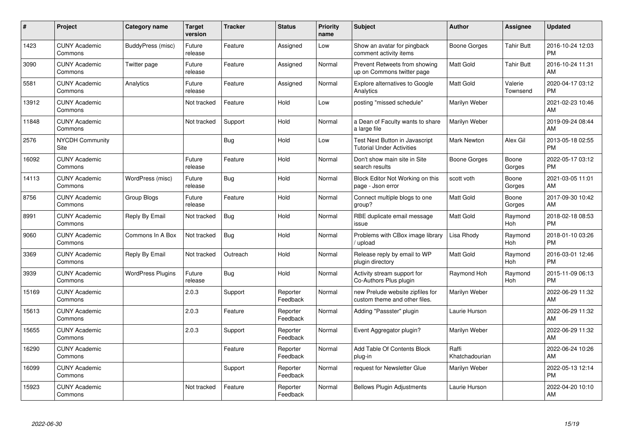| #     | <b>Project</b>                  | <b>Category name</b>     | <b>Target</b><br>version | <b>Tracker</b> | <b>Status</b>        | <b>Priority</b><br>name | <b>Subject</b>                                                     | <b>Author</b>           | Assignee            | <b>Updated</b>                |
|-------|---------------------------------|--------------------------|--------------------------|----------------|----------------------|-------------------------|--------------------------------------------------------------------|-------------------------|---------------------|-------------------------------|
| 1423  | <b>CUNY Academic</b><br>Commons | BuddyPress (misc)        | Future<br>release        | Feature        | Assigned             | Low                     | Show an avatar for pingback<br>comment activity items              | Boone Gorges            | <b>Tahir Butt</b>   | 2016-10-24 12:03<br><b>PM</b> |
| 3090  | <b>CUNY Academic</b><br>Commons | Twitter page             | Future<br>release        | Feature        | Assigned             | Normal                  | Prevent Retweets from showing<br>up on Commons twitter page        | <b>Matt Gold</b>        | Tahir Butt          | 2016-10-24 11:31<br>AM        |
| 5581  | <b>CUNY Academic</b><br>Commons | Analytics                | Future<br>release        | Feature        | Assigned             | Normal                  | <b>Explore alternatives to Google</b><br>Analytics                 | <b>Matt Gold</b>        | Valerie<br>Townsend | 2020-04-17 03:12<br><b>PM</b> |
| 13912 | <b>CUNY Academic</b><br>Commons |                          | Not tracked              | Feature        | Hold                 | Low                     | posting "missed schedule"                                          | Marilyn Weber           |                     | 2021-02-23 10:46<br><b>AM</b> |
| 11848 | <b>CUNY Academic</b><br>Commons |                          | Not tracked              | Support        | Hold                 | Normal                  | a Dean of Faculty wants to share<br>a large file                   | Marilyn Weber           |                     | 2019-09-24 08:44<br>AM        |
| 2576  | NYCDH Community<br>Site         |                          |                          | Bug            | Hold                 | Low                     | Test Next Button in Javascript<br><b>Tutorial Under Activities</b> | <b>Mark Newton</b>      | Alex Gil            | 2013-05-18 02:55<br><b>PM</b> |
| 16092 | <b>CUNY Academic</b><br>Commons |                          | Future<br>release        | Feature        | Hold                 | Normal                  | Don't show main site in Site<br>search results                     | Boone Gorges            | Boone<br>Gorges     | 2022-05-17 03:12<br><b>PM</b> |
| 14113 | <b>CUNY Academic</b><br>Commons | WordPress (misc)         | Future<br>release        | Bug            | Hold                 | Normal                  | Block Editor Not Working on this<br>page - Json error              | scott voth              | Boone<br>Gorges     | 2021-03-05 11:01<br>AM        |
| 8756  | <b>CUNY Academic</b><br>Commons | Group Blogs              | Future<br>release        | Feature        | Hold                 | Normal                  | Connect multiple blogs to one<br>group?                            | <b>Matt Gold</b>        | Boone<br>Gorges     | 2017-09-30 10:42<br>AM        |
| 8991  | <b>CUNY Academic</b><br>Commons | Reply By Email           | Not tracked              | Bug            | Hold                 | Normal                  | RBE duplicate email message<br>issue                               | <b>Matt Gold</b>        | Raymond<br>Hoh      | 2018-02-18 08:53<br><b>PM</b> |
| 9060  | <b>CUNY Academic</b><br>Commons | Commons In A Box         | Not tracked              | <b>Bug</b>     | Hold                 | Normal                  | Problems with CBox image library<br>/ upload                       | Lisa Rhody              | Raymond<br>Hoh      | 2018-01-10 03:26<br><b>PM</b> |
| 3369  | <b>CUNY Academic</b><br>Commons | Reply By Email           | Not tracked              | Outreach       | Hold                 | Normal                  | Release reply by email to WP<br>plugin directory                   | <b>Matt Gold</b>        | Raymond<br>Hoh      | 2016-03-01 12:46<br><b>PM</b> |
| 3939  | <b>CUNY Academic</b><br>Commons | <b>WordPress Plugins</b> | Future<br>release        | Bug            | Hold                 | Normal                  | Activity stream support for<br>Co-Authors Plus plugin              | Raymond Hoh             | Raymond<br>Hoh      | 2015-11-09 06:13<br><b>PM</b> |
| 15169 | <b>CUNY Academic</b><br>Commons |                          | 2.0.3                    | Support        | Reporter<br>Feedback | Normal                  | new Prelude website zipfiles for<br>custom theme and other files.  | Marilyn Weber           |                     | 2022-06-29 11:32<br><b>AM</b> |
| 15613 | <b>CUNY Academic</b><br>Commons |                          | 2.0.3                    | Feature        | Reporter<br>Feedback | Normal                  | Adding "Passster" plugin                                           | Laurie Hurson           |                     | 2022-06-29 11:32<br><b>AM</b> |
| 15655 | <b>CUNY Academic</b><br>Commons |                          | 2.0.3                    | Support        | Reporter<br>Feedback | Normal                  | Event Aggregator plugin?                                           | Marilyn Weber           |                     | 2022-06-29 11:32<br>AM        |
| 16290 | <b>CUNY Academic</b><br>Commons |                          |                          | Feature        | Reporter<br>Feedback | Normal                  | Add Table Of Contents Block<br>plug-in                             | Raffi<br>Khatchadourian |                     | 2022-06-24 10:26<br><b>AM</b> |
| 16099 | <b>CUNY Academic</b><br>Commons |                          |                          | Support        | Reporter<br>Feedback | Normal                  | request for Newsletter Glue                                        | Marilyn Weber           |                     | 2022-05-13 12:14<br><b>PM</b> |
| 15923 | <b>CUNY Academic</b><br>Commons |                          | Not tracked              | Feature        | Reporter<br>Feedback | Normal                  | <b>Bellows Plugin Adjustments</b>                                  | Laurie Hurson           |                     | 2022-04-20 10:10<br>AM        |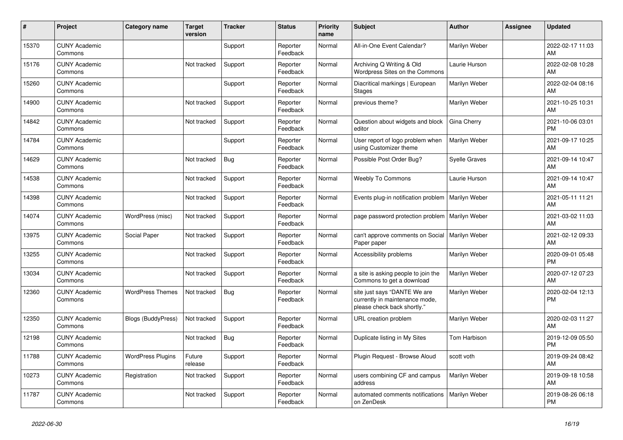| #     | Project                         | <b>Category name</b>      | <b>Target</b><br>version | <b>Tracker</b> | <b>Status</b>        | <b>Priority</b><br>name | <b>Subject</b>                                                                                | <b>Author</b>        | Assignee | <b>Updated</b>                |
|-------|---------------------------------|---------------------------|--------------------------|----------------|----------------------|-------------------------|-----------------------------------------------------------------------------------------------|----------------------|----------|-------------------------------|
| 15370 | <b>CUNY Academic</b><br>Commons |                           |                          | Support        | Reporter<br>Feedback | Normal                  | All-in-One Event Calendar?                                                                    | Marilyn Weber        |          | 2022-02-17 11:03<br>AM        |
| 15176 | <b>CUNY Academic</b><br>Commons |                           | Not tracked              | Support        | Reporter<br>Feedback | Normal                  | Archiving Q Writing & Old<br>Wordpress Sites on the Commons                                   | Laurie Hurson        |          | 2022-02-08 10:28<br>AM        |
| 15260 | <b>CUNY Academic</b><br>Commons |                           |                          | Support        | Reporter<br>Feedback | Normal                  | Diacritical markings   European<br><b>Stages</b>                                              | Marilyn Weber        |          | 2022-02-04 08:16<br>AM        |
| 14900 | <b>CUNY Academic</b><br>Commons |                           | Not tracked              | Support        | Reporter<br>Feedback | Normal                  | previous theme?                                                                               | Marilyn Weber        |          | 2021-10-25 10:31<br>AM        |
| 14842 | <b>CUNY Academic</b><br>Commons |                           | Not tracked              | Support        | Reporter<br>Feedback | Normal                  | Question about widgets and block<br>editor                                                    | Gina Cherry          |          | 2021-10-06 03:01<br><b>PM</b> |
| 14784 | <b>CUNY Academic</b><br>Commons |                           |                          | Support        | Reporter<br>Feedback | Normal                  | User report of logo problem when<br>using Customizer theme                                    | Marilyn Weber        |          | 2021-09-17 10:25<br>AM        |
| 14629 | <b>CUNY Academic</b><br>Commons |                           | Not tracked              | Bug            | Reporter<br>Feedback | Normal                  | Possible Post Order Bug?                                                                      | <b>Syelle Graves</b> |          | 2021-09-14 10:47<br>AM        |
| 14538 | <b>CUNY Academic</b><br>Commons |                           | Not tracked              | Support        | Reporter<br>Feedback | Normal                  | <b>Weebly To Commons</b>                                                                      | Laurie Hurson        |          | 2021-09-14 10:47<br>AM        |
| 14398 | <b>CUNY Academic</b><br>Commons |                           | Not tracked              | Support        | Reporter<br>Feedback | Normal                  | Events plug-in notification problem                                                           | Marilyn Weber        |          | 2021-05-11 11:21<br>AM        |
| 14074 | <b>CUNY Academic</b><br>Commons | WordPress (misc)          | Not tracked              | Support        | Reporter<br>Feedback | Normal                  | page password protection problem                                                              | Marilyn Weber        |          | 2021-03-02 11:03<br>AM        |
| 13975 | <b>CUNY Academic</b><br>Commons | Social Paper              | Not tracked              | Support        | Reporter<br>Feedback | Normal                  | can't approve comments on Social<br>Paper paper                                               | Marilyn Weber        |          | 2021-02-12 09:33<br>AM        |
| 13255 | <b>CUNY Academic</b><br>Commons |                           | Not tracked              | Support        | Reporter<br>Feedback | Normal                  | Accessibility problems                                                                        | Marilyn Weber        |          | 2020-09-01 05:48<br><b>PM</b> |
| 13034 | <b>CUNY Academic</b><br>Commons |                           | Not tracked              | Support        | Reporter<br>Feedback | Normal                  | a site is asking people to join the<br>Commons to get a download                              | Marilyn Weber        |          | 2020-07-12 07:23<br>AM        |
| 12360 | <b>CUNY Academic</b><br>Commons | <b>WordPress Themes</b>   | Not tracked              | Bug            | Reporter<br>Feedback | Normal                  | site just says "DANTE We are<br>currently in maintenance mode,<br>please check back shortly." | Marilyn Weber        |          | 2020-02-04 12:13<br><b>PM</b> |
| 12350 | <b>CUNY Academic</b><br>Commons | <b>Blogs (BuddyPress)</b> | Not tracked              | Support        | Reporter<br>Feedback | Normal                  | URL creation problem                                                                          | Marilyn Weber        |          | 2020-02-03 11:27<br>AM        |
| 12198 | <b>CUNY Academic</b><br>Commons |                           | Not tracked              | <b>Bug</b>     | Reporter<br>Feedback | Normal                  | Duplicate listing in My Sites                                                                 | Tom Harbison         |          | 2019-12-09 05:50<br><b>PM</b> |
| 11788 | <b>CUNY Academic</b><br>Commons | <b>WordPress Plugins</b>  | Future<br>release        | Support        | Reporter<br>Feedback | Normal                  | Plugin Request - Browse Aloud                                                                 | scott voth           |          | 2019-09-24 08:42<br>AM        |
| 10273 | <b>CUNY Academic</b><br>Commons | Registration              | Not tracked              | Support        | Reporter<br>Feedback | Normal                  | users combining CF and campus<br>address                                                      | Marilyn Weber        |          | 2019-09-18 10:58<br>AM        |
| 11787 | <b>CUNY Academic</b><br>Commons |                           | Not tracked              | Support        | Reporter<br>Feedback | Normal                  | automated comments notifications<br>on ZenDesk                                                | Marilyn Weber        |          | 2019-08-26 06:18<br><b>PM</b> |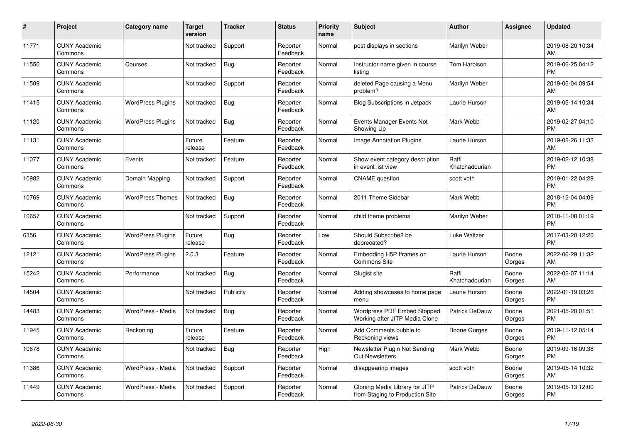| #     | Project                         | <b>Category name</b>     | <b>Target</b><br>version | <b>Tracker</b> | <b>Status</b>        | <b>Priority</b><br>name | <b>Subject</b>                                                       | <b>Author</b>           | Assignee        | <b>Updated</b>                |
|-------|---------------------------------|--------------------------|--------------------------|----------------|----------------------|-------------------------|----------------------------------------------------------------------|-------------------------|-----------------|-------------------------------|
| 11771 | <b>CUNY Academic</b><br>Commons |                          | Not tracked              | Support        | Reporter<br>Feedback | Normal                  | post displays in sections                                            | Marilyn Weber           |                 | 2019-08-20 10:34<br>AM        |
| 11556 | <b>CUNY Academic</b><br>Commons | Courses                  | Not tracked              | Bug            | Reporter<br>Feedback | Normal                  | Instructor name given in course<br>listing                           | Tom Harbison            |                 | 2019-06-25 04:12<br><b>PM</b> |
| 11509 | <b>CUNY Academic</b><br>Commons |                          | Not tracked              | Support        | Reporter<br>Feedback | Normal                  | deleted Page causing a Menu<br>problem?                              | Marilyn Weber           |                 | 2019-06-04 09:54<br>AM        |
| 11415 | <b>CUNY Academic</b><br>Commons | <b>WordPress Plugins</b> | Not tracked              | Bug            | Reporter<br>Feedback | Normal                  | Blog Subscriptions in Jetpack                                        | Laurie Hurson           |                 | 2019-05-14 10:34<br>AM        |
| 11120 | <b>CUNY Academic</b><br>Commons | <b>WordPress Plugins</b> | Not tracked              | <b>Bug</b>     | Reporter<br>Feedback | Normal                  | Events Manager Events Not<br>Showing Up                              | Mark Webb               |                 | 2019-02-27 04:10<br><b>PM</b> |
| 11131 | <b>CUNY Academic</b><br>Commons |                          | Future<br>release        | Feature        | Reporter<br>Feedback | Normal                  | <b>Image Annotation Plugins</b>                                      | Laurie Hurson           |                 | 2019-02-26 11:33<br>AM        |
| 11077 | <b>CUNY Academic</b><br>Commons | Events                   | Not tracked              | Feature        | Reporter<br>Feedback | Normal                  | Show event category description<br>in event list view                | Raffi<br>Khatchadourian |                 | 2019-02-12 10:38<br><b>PM</b> |
| 10982 | <b>CUNY Academic</b><br>Commons | Domain Mapping           | Not tracked              | Support        | Reporter<br>Feedback | Normal                  | <b>CNAME</b> question                                                | scott voth              |                 | 2019-01-22 04:29<br><b>PM</b> |
| 10769 | <b>CUNY Academic</b><br>Commons | <b>WordPress Themes</b>  | Not tracked              | Bug            | Reporter<br>Feedback | Normal                  | 2011 Theme Sidebar                                                   | Mark Webb               |                 | 2018-12-04 04:09<br><b>PM</b> |
| 10657 | <b>CUNY Academic</b><br>Commons |                          | Not tracked              | Support        | Reporter<br>Feedback | Normal                  | child theme problems                                                 | Marilyn Weber           |                 | 2018-11-08 01:19<br><b>PM</b> |
| 6356  | <b>CUNY Academic</b><br>Commons | <b>WordPress Plugins</b> | Future<br>release        | <b>Bug</b>     | Reporter<br>Feedback | Low                     | Should Subscribe2 be<br>deprecated?                                  | Luke Waltzer            |                 | 2017-03-20 12:20<br><b>PM</b> |
| 12121 | <b>CUNY Academic</b><br>Commons | <b>WordPress Plugins</b> | 2.0.3                    | Feature        | Reporter<br>Feedback | Normal                  | Embedding H5P Iframes on<br><b>Commons Site</b>                      | Laurie Hurson           | Boone<br>Gorges | 2022-06-29 11:32<br>AM        |
| 15242 | <b>CUNY Academic</b><br>Commons | Performance              | Not tracked              | <b>Bug</b>     | Reporter<br>Feedback | Normal                  | Slugist site                                                         | Raffi<br>Khatchadourian | Boone<br>Gorges | 2022-02-07 11:14<br>AM        |
| 14504 | <b>CUNY Academic</b><br>Commons |                          | Not tracked              | Publicity      | Reporter<br>Feedback | Normal                  | Adding showcases to home page<br>menu                                | Laurie Hurson           | Boone<br>Gorges | 2022-01-19 03:26<br><b>PM</b> |
| 14483 | <b>CUNY Academic</b><br>Commons | WordPress - Media        | Not tracked              | Bug            | Reporter<br>Feedback | Normal                  | <b>Wordpress PDF Embed Stopped</b><br>Working after JITP Media Clone | Patrick DeDauw          | Boone<br>Gorges | 2021-05-20 01:51<br><b>PM</b> |
| 11945 | <b>CUNY Academic</b><br>Commons | Reckoning                | Future<br>release        | Feature        | Reporter<br>Feedback | Normal                  | Add Comments bubble to<br>Reckoning views                            | Boone Gorges            | Boone<br>Gorges | 2019-11-12 05:14<br><b>PM</b> |
| 10678 | <b>CUNY Academic</b><br>Commons |                          | Not tracked              | Bug            | Reporter<br>Feedback | High                    | Newsletter Plugin Not Sending<br><b>Out Newsletters</b>              | Mark Webb               | Boone<br>Gorges | 2019-09-16 09:38<br><b>PM</b> |
| 11386 | <b>CUNY Academic</b><br>Commons | WordPress - Media        | Not tracked              | Support        | Reporter<br>Feedback | Normal                  | disappearing images                                                  | scott voth              | Boone<br>Gorges | 2019-05-14 10:32<br>AM        |
| 11449 | <b>CUNY Academic</b><br>Commons | WordPress - Media        | Not tracked              | Support        | Reporter<br>Feedback | Normal                  | Cloning Media Library for JITP<br>from Staging to Production Site    | <b>Patrick DeDauw</b>   | Boone<br>Gorges | 2019-05-13 12:00<br>PM        |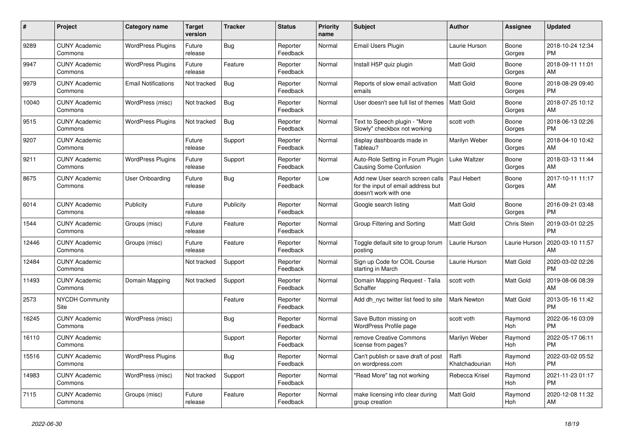| #     | <b>Project</b>                  | <b>Category name</b>       | <b>Target</b><br>version | <b>Tracker</b> | <b>Status</b>        | <b>Priority</b><br>name | <b>Subject</b>                                                                                  | <b>Author</b>           | Assignee           | <b>Updated</b>                |
|-------|---------------------------------|----------------------------|--------------------------|----------------|----------------------|-------------------------|-------------------------------------------------------------------------------------------------|-------------------------|--------------------|-------------------------------|
| 9289  | <b>CUNY Academic</b><br>Commons | <b>WordPress Plugins</b>   | Future<br>release        | <b>Bug</b>     | Reporter<br>Feedback | Normal                  | <b>Email Users Plugin</b>                                                                       | Laurie Hurson           | Boone<br>Gorges    | 2018-10-24 12:34<br><b>PM</b> |
| 9947  | <b>CUNY Academic</b><br>Commons | <b>WordPress Plugins</b>   | Future<br>release        | Feature        | Reporter<br>Feedback | Normal                  | Install H5P quiz plugin                                                                         | Matt Gold               | Boone<br>Gorges    | 2018-09-11 11:01<br>AM        |
| 9979  | <b>CUNY Academic</b><br>Commons | <b>Email Notifications</b> | Not tracked              | Bug            | Reporter<br>Feedback | Normal                  | Reports of slow email activation<br>emails                                                      | Matt Gold               | Boone<br>Gorges    | 2018-08-29 09:40<br><b>PM</b> |
| 10040 | <b>CUNY Academic</b><br>Commons | WordPress (misc)           | Not tracked              | Bug            | Reporter<br>Feedback | Normal                  | User doesn't see full list of themes                                                            | Matt Gold               | Boone<br>Gorges    | 2018-07-25 10:12<br>AM        |
| 9515  | <b>CUNY Academic</b><br>Commons | <b>WordPress Plugins</b>   | Not tracked              | Bug            | Reporter<br>Feedback | Normal                  | Text to Speech plugin - "More<br>Slowly" checkbox not working                                   | scott voth              | Boone<br>Gorges    | 2018-06-13 02:26<br><b>PM</b> |
| 9207  | <b>CUNY Academic</b><br>Commons |                            | Future<br>release        | Support        | Reporter<br>Feedback | Normal                  | display dashboards made in<br>Tableau?                                                          | Marilyn Weber           | Boone<br>Gorges    | 2018-04-10 10:42<br>AM        |
| 9211  | <b>CUNY Academic</b><br>Commons | <b>WordPress Plugins</b>   | Future<br>release        | Support        | Reporter<br>Feedback | Normal                  | Auto-Role Setting in Forum Plugin<br><b>Causing Some Confusion</b>                              | Luke Waltzer            | Boone<br>Gorges    | 2018-03-13 11:44<br>AM        |
| 8675  | <b>CUNY Academic</b><br>Commons | User Onboarding            | Future<br>release        | Bug            | Reporter<br>Feedback | Low                     | Add new User search screen calls<br>for the input of email address but<br>doesn't work with one | Paul Hebert             | Boone<br>Gorges    | 2017-10-11 11:17<br>AM        |
| 6014  | <b>CUNY Academic</b><br>Commons | Publicity                  | Future<br>release        | Publicity      | Reporter<br>Feedback | Normal                  | Google search listing                                                                           | Matt Gold               | Boone<br>Gorges    | 2016-09-21 03:48<br><b>PM</b> |
| 1544  | <b>CUNY Academic</b><br>Commons | Groups (misc)              | Future<br>release        | Feature        | Reporter<br>Feedback | Normal                  | Group Filtering and Sorting                                                                     | <b>Matt Gold</b>        | <b>Chris Stein</b> | 2019-03-01 02:25<br><b>PM</b> |
| 12446 | <b>CUNY Academic</b><br>Commons | Groups (misc)              | Future<br>release        | Feature        | Reporter<br>Feedback | Normal                  | Toggle default site to group forum<br>posting                                                   | Laurie Hurson           | Laurie Hurson      | 2020-03-10 11:57<br>AM        |
| 12484 | <b>CUNY Academic</b><br>Commons |                            | Not tracked              | Support        | Reporter<br>Feedback | Normal                  | Sign up Code for COIL Course<br>starting in March                                               | Laurie Hurson           | Matt Gold          | 2020-03-02 02:26<br><b>PM</b> |
| 11493 | <b>CUNY Academic</b><br>Commons | Domain Mapping             | Not tracked              | Support        | Reporter<br>Feedback | Normal                  | Domain Mapping Request - Talia<br>Schaffer                                                      | scott voth              | Matt Gold          | 2019-08-06 08:39<br>AM        |
| 2573  | <b>NYCDH Community</b><br>Site  |                            |                          | Feature        | Reporter<br>Feedback | Normal                  | Add dh nyc twitter list feed to site                                                            | Mark Newton             | Matt Gold          | 2013-05-16 11:42<br><b>PM</b> |
| 16245 | <b>CUNY Academic</b><br>Commons | WordPress (misc)           |                          | Bug            | Reporter<br>Feedback | Normal                  | Save Button missing on<br><b>WordPress Profile page</b>                                         | scott voth              | Raymond<br>Hoh     | 2022-06-16 03:09<br><b>PM</b> |
| 16110 | <b>CUNY Academic</b><br>Commons |                            |                          | Support        | Reporter<br>Feedback | Normal                  | remove Creative Commons<br>license from pages?                                                  | Marilyn Weber           | Raymond<br>Hoh     | 2022-05-17 06:11<br><b>PM</b> |
| 15516 | <b>CUNY Academic</b><br>Commons | <b>WordPress Plugins</b>   |                          | Bug            | Reporter<br>Feedback | Normal                  | Can't publish or save draft of post<br>on wordpress.com                                         | Raffi<br>Khatchadourian | Raymond<br>Hoh     | 2022-03-02 05:52<br><b>PM</b> |
| 14983 | <b>CUNY Academic</b><br>Commons | WordPress (misc)           | Not tracked              | Support        | Reporter<br>Feedback | Normal                  | "Read More" tag not working                                                                     | Rebecca Krisel          | Raymond<br>Hoh     | 2021-11-23 01:17<br><b>PM</b> |
| 7115  | <b>CUNY Academic</b><br>Commons | Groups (misc)              | Future<br>release        | Feature        | Reporter<br>Feedback | Normal                  | make licensing info clear during<br>group creation                                              | Matt Gold               | Raymond<br>Hoh     | 2020-12-08 11:32<br>AM        |